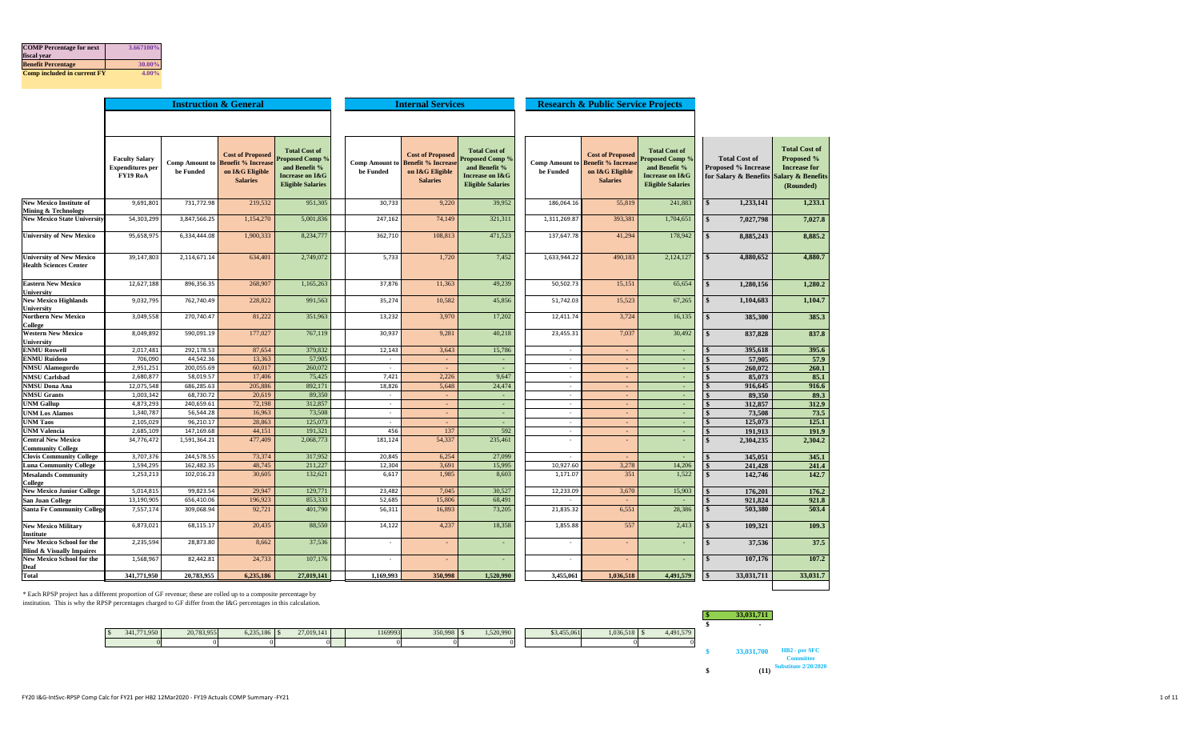| <b>COMP</b> Percentage for next<br>fiscal year | 3.667100% |
|------------------------------------------------|-----------|
| <b>Benefit Percentage</b>                      | 30.00%    |
| Comp included in current FY                    | $4.00\%$  |

|                                                                          |                                                              |                             | <b>Instruction &amp; General</b>                                                          |                                                                                                                |                                    | <b>Internal Services</b>                                                                  |                                                                                                                           |                             | <b>Research &amp; Public Service Projects</b>                                              |                                                                                                        |                    |                                                                                               |                                                                               |
|--------------------------------------------------------------------------|--------------------------------------------------------------|-----------------------------|-------------------------------------------------------------------------------------------|----------------------------------------------------------------------------------------------------------------|------------------------------------|-------------------------------------------------------------------------------------------|---------------------------------------------------------------------------------------------------------------------------|-----------------------------|--------------------------------------------------------------------------------------------|--------------------------------------------------------------------------------------------------------|--------------------|-----------------------------------------------------------------------------------------------|-------------------------------------------------------------------------------|
|                                                                          |                                                              |                             |                                                                                           |                                                                                                                |                                    |                                                                                           |                                                                                                                           |                             |                                                                                            |                                                                                                        |                    |                                                                                               |                                                                               |
|                                                                          | <b>Faculty Salary</b><br><b>Expenditures</b> per<br>FY19 RoA | Comp Amount to<br>be Funded | <b>Cost of Proposed</b><br><b>Benefit % Increas</b><br>on I&G Eligible<br><b>Salaries</b> | <b>Total Cost of</b><br><b>Proposed Comp %</b><br>and Benefit %<br>Increase on I&G<br><b>Eligible Salaries</b> | <b>Comp Amount to</b><br>be Funded | <b>Cost of Proposed</b><br><b>Benefit % Increas</b><br>on I&G Eligible<br><b>Salaries</b> | <b>Total Cost of</b><br><b>Proposed Comp %</b><br>and Benefit %<br><b>Increase on I&amp;G</b><br><b>Eligible Salaries</b> | Comp Amount to<br>be Funded | <b>Cost of Proposed</b><br><b>Benefit % Increase</b><br>on I&G Eligible<br><b>Salaries</b> | <b>Total Cost of</b><br>Proposed Comp?<br>and Benefit %<br>Increase on I&G<br><b>Eligible Salaries</b> |                    | <b>Total Cost of</b><br><b>Proposed % Increase</b><br>for Salary & Benefits Salary & Benefits | <b>Total Cost of</b><br><b>Proposed %</b><br><b>Increase for</b><br>(Rounded) |
| <b>New Mexico Institute of</b>                                           | 9,691,801                                                    | 731,772.98                  | 219,532                                                                                   | 951,305                                                                                                        | 30,733                             | 9,220                                                                                     | 39,952                                                                                                                    | 186,064.16                  | 55,819                                                                                     | 241,883                                                                                                | $\mathbf{s}$       | 1.233.141                                                                                     | 1,233.1                                                                       |
| <b>Mining &amp; Technology</b>                                           |                                                              |                             |                                                                                           |                                                                                                                |                                    |                                                                                           |                                                                                                                           |                             |                                                                                            |                                                                                                        |                    |                                                                                               |                                                                               |
| <b>New Mexico State University</b>                                       | 54,303,299                                                   | 3,847,566.25                | 1,154,270                                                                                 | 5,001,836                                                                                                      | 247,162                            | 74,149                                                                                    | 321,311                                                                                                                   | 1,311,269.87                | 393,381                                                                                    | 1,704,651                                                                                              | $\mathbf{s}$       | 7,027,798                                                                                     | 7,027.8                                                                       |
| <b>University of New Mexico</b>                                          | 95,658,975                                                   | 6,334,444.08                | 1,900,333                                                                                 | 8,234,777                                                                                                      | 362,710                            | 108,813                                                                                   | 471,523                                                                                                                   | 137,647.78                  | 41,294                                                                                     | 178,942                                                                                                | $\mathbf{s}$       | 8,885,243                                                                                     | 8,885.2                                                                       |
| <b>University of New Mexico</b><br><b>Health Sciences Center</b>         | 39,147,803                                                   | 2,114,671.14                | 634,40                                                                                    | 2,749,072                                                                                                      | 5,733                              | 1,720                                                                                     | 7,452                                                                                                                     | 1,633,944.22                | 490,183                                                                                    | 2,124,127                                                                                              |                    | 4,880,652                                                                                     | 4,880.7                                                                       |
| <b>Eastern New Mexico</b><br>University                                  | 12,627,188                                                   | 896,356.35                  | 268,90                                                                                    | 1,165,263                                                                                                      | 37,876                             | 11,363                                                                                    | 49,239                                                                                                                    | 50,502.73                   | 15,151                                                                                     | 65,654                                                                                                 | $\mathbf{s}$       | 1,280,156                                                                                     | 1,280.2                                                                       |
| <b>New Mexico Highlands</b><br>University                                | 9,032,795                                                    | 762,740.49                  | 228,822                                                                                   | 991,563                                                                                                        | 35,274                             | 10,582                                                                                    | 45,856                                                                                                                    | 51,742.03                   | 15,523                                                                                     | 67,265                                                                                                 | $\mathbf{s}$       | 1,104,683                                                                                     | 1,104.7                                                                       |
| <b>Northern New Mexico</b><br>College                                    | 3,049,558                                                    | 270,740.47                  | 81,222                                                                                    | 351,963                                                                                                        | 13,232                             | 3,970                                                                                     | 17,202                                                                                                                    | 12,411.74                   | 3,724                                                                                      | 16,135                                                                                                 | $\mathbf{s}$       | 385,300                                                                                       | 385.3                                                                         |
| <b>Western New Mexico</b><br>Jniversity                                  | 8,049,892                                                    | 590,091.19                  | 177,027                                                                                   | 767,119                                                                                                        | 30,937                             | 9,281                                                                                     | 40,218                                                                                                                    | 23,455.31                   | 7,037                                                                                      | 30,492                                                                                                 | $\mathbf{s}$       | 837,828                                                                                       | 837.8                                                                         |
| <b>ENMU Roswell</b>                                                      | 2,017,481                                                    | 292,178.53                  | 87,654                                                                                    | 379,832                                                                                                        | 12,143                             | 3,643                                                                                     | 15,786                                                                                                                    | $\sim$                      | $\sim$                                                                                     | $\sim$                                                                                                 |                    | 395,618                                                                                       | 395.6                                                                         |
| <b>ENMU Ruidoso</b>                                                      | 706,090                                                      | 44,542.36                   | 13,363                                                                                    | 57,905                                                                                                         | $\sim$                             | $\sim$                                                                                    | $\sim$                                                                                                                    | $\sim$                      | $\sim$                                                                                     | $\omega$                                                                                               |                    | 57,905                                                                                        | 57.9                                                                          |
| <b>NMSU Alamogordo</b>                                                   | 2,951,251                                                    | 200,055.69                  | 60,017                                                                                    | 260,072                                                                                                        | $\sim$                             |                                                                                           |                                                                                                                           | $\overline{\phantom{a}}$    | $\sim$                                                                                     | ÷.                                                                                                     |                    | 260,072                                                                                       | 260.1                                                                         |
| <b>NMSU Carlsbad</b>                                                     | 2,680,877                                                    | 58,019.57                   | 17,406                                                                                    | 75,425                                                                                                         | 7,421                              | 2,226                                                                                     | 9,647                                                                                                                     | $\overline{\phantom{a}}$    | $\sim$                                                                                     | $\sim$                                                                                                 |                    | 85,073                                                                                        | 85.1                                                                          |
| <b>NMSU Dona Ana</b>                                                     | 12,075,548                                                   | 686,285.63                  | 205,886                                                                                   | 892,171                                                                                                        | 18,826                             | 5,648                                                                                     | 24,474                                                                                                                    | $\sim$                      | $\sim$                                                                                     | $\sim$                                                                                                 |                    | 916,645                                                                                       | 916.6                                                                         |
| <b>NMSU Grants</b>                                                       | 1,003,342                                                    | 68,730.72                   | 20,619                                                                                    | 89,350                                                                                                         | $\sim$                             | $\overline{\phantom{a}}$                                                                  |                                                                                                                           | $\overline{\phantom{a}}$    | $\sim$                                                                                     | $\sim$                                                                                                 |                    | 89.350                                                                                        | 89.3                                                                          |
| <b>UNM Gallup</b>                                                        | 4,873,293                                                    | 240,659.61                  | 72,198                                                                                    | 312,857                                                                                                        | $\sim$                             | $\sim$                                                                                    | $\sim$                                                                                                                    | $\sim$                      | $\sim$                                                                                     | $\mathcal{L}_{\mathcal{C}}$                                                                            |                    | 312,857                                                                                       | 312.9                                                                         |
| <b>UNM Los Alamos</b>                                                    | 1,340,787                                                    | 56,544.28                   | 16,963                                                                                    | 73,508                                                                                                         | $\sim$                             | $\sim$                                                                                    |                                                                                                                           | $\overline{\phantom{a}}$    | $\sim$                                                                                     | $\sim$                                                                                                 |                    | 73.508                                                                                        | 73.5                                                                          |
| <b>UNM Taos</b>                                                          | 2,105,029                                                    | 96,210.17                   | 28,863                                                                                    | 125,073                                                                                                        | $\overline{\phantom{a}}$           | ÷.                                                                                        |                                                                                                                           | $\overline{\phantom{a}}$    | $\omega$                                                                                   | $\sim$                                                                                                 |                    | 125,073                                                                                       | 125.1                                                                         |
| <b>UNM Valencia</b>                                                      | 2,685,109                                                    | 147,169.68                  | 44,151                                                                                    | 191,321                                                                                                        | 456                                | 137                                                                                       | 592                                                                                                                       | $\sim$                      | $\sim$                                                                                     | $\sim$                                                                                                 |                    | 191.913                                                                                       | 191.9                                                                         |
| <b>Central New Mexico</b><br><b>Community College</b>                    | 34,776,472                                                   | 1,591,364.21                | 477,409                                                                                   | 2,068,773                                                                                                      | 181,124                            | 54,337                                                                                    | 235,461                                                                                                                   | $\overline{\phantom{a}}$    |                                                                                            |                                                                                                        |                    | 2,304,235                                                                                     | 2,304.2                                                                       |
| <b>Clovis Community College</b>                                          | 3,707,376                                                    | 244,578.55                  | 73,374                                                                                    | 317,952                                                                                                        | 20,845                             | 6,254                                                                                     | 27,099                                                                                                                    |                             |                                                                                            | $\sim$                                                                                                 |                    | 345,051                                                                                       | 345.1                                                                         |
| <b>Luna Community College</b>                                            | 1,594,295                                                    | 162.482.35                  | 48,745                                                                                    | 211.227                                                                                                        | 12.304                             | 3,691                                                                                     | 15,995                                                                                                                    | 10,927.60                   | 3,278                                                                                      | 14,206                                                                                                 |                    | 241,428                                                                                       | 241.4                                                                         |
| <b>Mesalands Community</b><br>College                                    | 1,253,213                                                    | 102,016.23                  | 30,605                                                                                    | 132,621                                                                                                        | 6,617                              | 1,985                                                                                     | 8,603                                                                                                                     | 1,171.07                    | 351                                                                                        | 1.522                                                                                                  |                    | 142,746                                                                                       | 142.7                                                                         |
| <b>New Mexico Junior College</b>                                         | 5,014,815                                                    | 99,823.54                   | 29,941                                                                                    | 129,771                                                                                                        | 23,482                             | 7,045                                                                                     | 30,527                                                                                                                    | 12,233.09                   | 3,670                                                                                      | 15,903                                                                                                 |                    | 176,201                                                                                       | 176.2                                                                         |
| San Juan College                                                         | 13,190,905                                                   | 656,410.06                  | 196,923                                                                                   | 853,333                                                                                                        | 52,685                             | 15,806                                                                                    | 68,491                                                                                                                    |                             |                                                                                            |                                                                                                        |                    | 921,824                                                                                       | 921.8                                                                         |
| <b>Santa Fe Community College</b>                                        | 7,557,174                                                    | 309,068.94                  | 92,721                                                                                    | 401,790                                                                                                        | 56,311                             | 16,893                                                                                    | 73,205                                                                                                                    | 21,835.32                   | 6,551                                                                                      | 28,386                                                                                                 | $\mathbf{s}$       | 503,380                                                                                       | 503.4                                                                         |
| <b>New Mexico Military</b><br>Institute                                  | 6,873,021                                                    | 68,115.17                   | 20,435                                                                                    | 88,550                                                                                                         | 14,122                             | 4,237                                                                                     | 18,358                                                                                                                    | 1,855.88                    | 557                                                                                        | 2,413                                                                                                  | $\mathbf{s}$       | 109,321                                                                                       | 109.3                                                                         |
| <b>New Mexico School for the</b><br><b>Blind &amp; Visually Impaired</b> | 2,235,594                                                    | 28,873.80                   | 8,662                                                                                     | 37,536                                                                                                         | ٠                                  | ×,                                                                                        |                                                                                                                           |                             |                                                                                            | $\sim$                                                                                                 | $\hat{\mathbf{x}}$ | 37,536                                                                                        | 37.5                                                                          |
| <b>New Mexico School for the</b><br>Deaf                                 | 1,568,967                                                    | 82,442.81                   | 24,733                                                                                    | 107,176                                                                                                        |                                    |                                                                                           |                                                                                                                           |                             |                                                                                            |                                                                                                        |                    | 107,176                                                                                       | 107.2                                                                         |
| <b>Total</b>                                                             | 341,771,950                                                  | 20,783,955                  | 6.235.186                                                                                 | 27,019,141                                                                                                     | 1.169.993                          | 350.998                                                                                   | 1,520,990                                                                                                                 | 3,455,061                   | 1.036.518                                                                                  | 4,491,579                                                                                              |                    | 33,031,711                                                                                    | 33,031.7                                                                      |

\* Each RPSP project has a different proportion of GF revenue; these are rolled up to a composite percentage by institution. This is why the RPSP percentages charged to GF differ from the I&G percentages in this calculation.



**\$ (11) Committee Substitute 2/20/2020**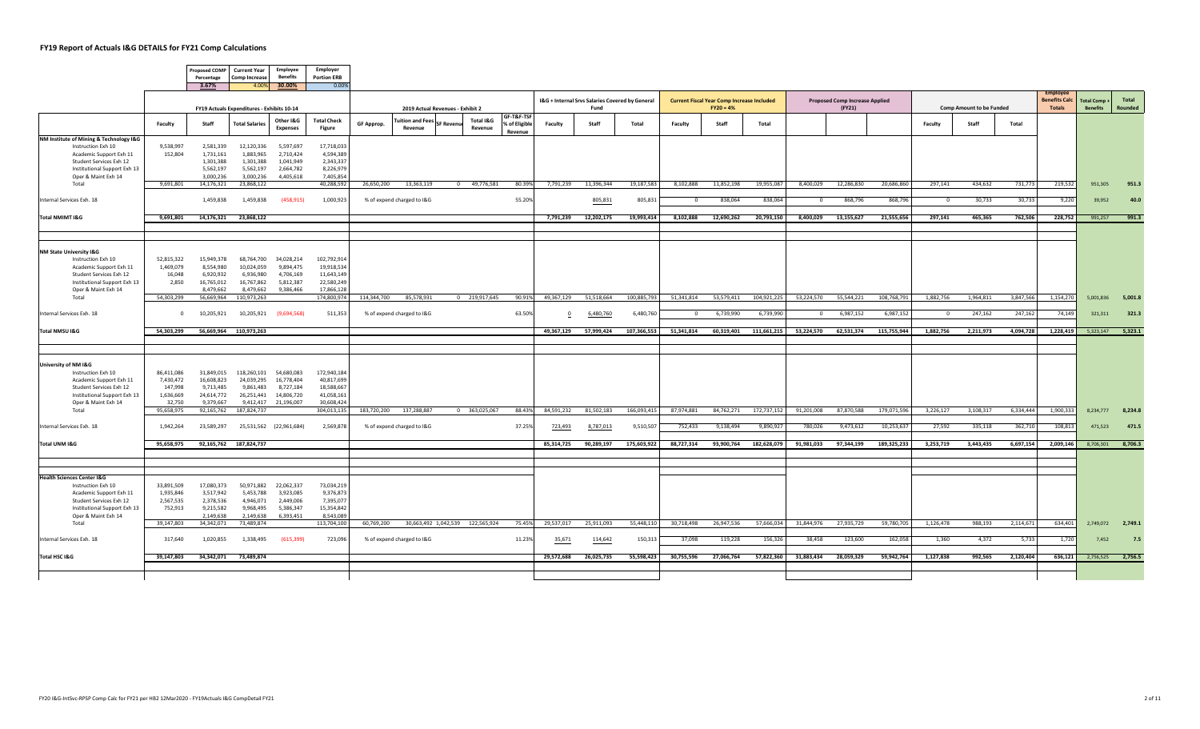$\sqrt{2}$ 

|                                                             |                      | Percentage              | Proposed COMP Current Year<br>Comp Increase | Employee<br>Benefits         | Employer<br><b>Portion ERB</b> |             |                                  |                   |                                  |                             |            |                                                         |             |            |                                                                  |             |            |                                                 |             |                |                                 |           |                                       |                                       |                   |
|-------------------------------------------------------------|----------------------|-------------------------|---------------------------------------------|------------------------------|--------------------------------|-------------|----------------------------------|-------------------|----------------------------------|-----------------------------|------------|---------------------------------------------------------|-------------|------------|------------------------------------------------------------------|-------------|------------|-------------------------------------------------|-------------|----------------|---------------------------------|-----------|---------------------------------------|---------------------------------------|-------------------|
|                                                             |                      | 3.67%                   |                                             | 4.00% 30.00%                 | 0.00%                          |             |                                  |                   |                                  |                             |            |                                                         |             |            |                                                                  |             |            |                                                 |             |                |                                 |           | <b>Employer</b>                       |                                       |                   |
|                                                             |                      |                         | FY19 Actuals Expenditures - Exhibits 10-14  |                              |                                |             | 2019 Actual Revenues - Exhibit 2 |                   |                                  |                             |            | I&G + Internal Srvs Salaries Covered by General<br>Fund |             |            | <b>Current Fiscal Year Comp Increase Included</b><br>$FY20 = 4%$ |             |            | <b>Proposed Comp Increase Applied</b><br>(FY21) |             |                | <b>Comp Amount to be Funded</b> |           | <b>Benefits Calc</b><br><b>Totals</b> | <b>Total Comp+</b><br><b>Benefits</b> | Total<br>Rounded  |
|                                                             | Faculty              | Staff                   | <b>Total Salaries</b>                       | Other I&G<br><b>Expenses</b> | <b>Total Check</b><br>Figure   | GF Approp.  | uition and Fees<br>Revenue       | <b>SF Revenue</b> | Total I&G<br>Revenue             | GF-T&F-TSF<br>% of Eligible | Faculty    | Staff                                                   | Total       | Faculty    | Staff                                                            | Total       |            |                                                 |             | Faculty        | Staff                           | Total     |                                       |                                       |                   |
| NM Institute of Mining & Technology I&G                     |                      |                         |                                             |                              |                                |             |                                  |                   |                                  | Revenue                     |            |                                                         |             |            |                                                                  |             |            |                                                 |             |                |                                 |           |                                       |                                       |                   |
| Instruction Exh 10                                          | 9,538,997<br>152,804 | 2,581,339<br>1,731,161  | 12,120,336<br>1,883,965                     | 5,597,697<br>2,710,424       | 17,718,033<br>4,594,389        |             |                                  |                   |                                  |                             |            |                                                         |             |            |                                                                  |             |            |                                                 |             |                |                                 |           |                                       |                                       |                   |
| Academic Support Exh 11<br>Student Services Exh 12          |                      | 1,301,388               | 1,301,388                                   | 1,041,949                    | 2,343,337                      |             |                                  |                   |                                  |                             |            |                                                         |             |            |                                                                  |             |            |                                                 |             |                |                                 |           |                                       |                                       |                   |
| Institutional Support Exh 13                                |                      | 5,562,197               | 5,562,197                                   | 2,664,782                    | 8,226,979                      |             |                                  |                   |                                  |                             |            |                                                         |             |            |                                                                  |             |            |                                                 |             |                |                                 |           |                                       |                                       |                   |
| Oper & Maint Exh 14                                         |                      | 3,000,236               | 3,000,236                                   | 4,405,618                    | 7,405,854                      |             |                                  |                   |                                  |                             |            |                                                         |             |            |                                                                  |             |            |                                                 |             |                |                                 |           |                                       |                                       |                   |
| Total                                                       | 9,691,801            | 14,176,321              | 23,868,122                                  |                              | 40,288,592                     | 26,650,200  | 13,363,119                       |                   | 0 49,776,581                     | 80.39%                      | 7,791,239  | 11,396,344                                              | 19,187,583  | 8,102,888  | 11,852,198                                                       | 19,955,087  | 8,400,029  | 12,286,830                                      | 20,686,860  | 297,141        | 434,632                         | 731,773   | 219,532                               | 951,305                               | 951.3             |
| Internal Services Exh. 18                                   |                      | 1,459,838               | 1,459,838                                   | (458, 915)                   | 1,000,923                      |             | % of expend charged to I&G       |                   |                                  | 55.20%                      |            | 805,831                                                 | 805,831     | $\circ$    | 838,064                                                          | 838,064     | $^{\circ}$ | 868,796                                         | 868,796     | $\overline{0}$ | 30,733                          | 30,733    | 9,220                                 | 39,952                                | 40.0              |
| Total NMIMT I&G                                             | 9,691,801            | 14,176,321              | 23,868,122                                  |                              |                                |             |                                  |                   |                                  |                             | 7,791,239  | 12,202,175                                              | 19,993,414  | 8,102,888  | 12,690,262                                                       | 20,793,150  | 8,400,029  | 13,155,627                                      | 21,555,656  | 297,141        | 465,365                         | 762,506   | 228,752                               | 991,257                               | 991.3             |
|                                                             |                      |                         |                                             |                              |                                |             |                                  |                   |                                  |                             |            |                                                         |             |            |                                                                  |             |            |                                                 |             |                |                                 |           |                                       |                                       |                   |
|                                                             |                      |                         |                                             |                              |                                |             |                                  |                   |                                  |                             |            |                                                         |             |            |                                                                  |             |            |                                                 |             |                |                                 |           |                                       |                                       |                   |
| <b>NM State University I&amp;G</b>                          |                      |                         |                                             |                              |                                |             |                                  |                   |                                  |                             |            |                                                         |             |            |                                                                  |             |            |                                                 |             |                |                                 |           |                                       |                                       |                   |
| Instruction Exh 10                                          | 52,815,322           | 15,949,378              | 68,764,700                                  | 34,028,214                   | 102,792,914                    |             |                                  |                   |                                  |                             |            |                                                         |             |            |                                                                  |             |            |                                                 |             |                |                                 |           |                                       |                                       |                   |
| Academic Support Exh 11                                     | 1,469,079            | 8,554,980               | 10,024,059                                  | 9,894,475                    | 19,918,534                     |             |                                  |                   |                                  |                             |            |                                                         |             |            |                                                                  |             |            |                                                 |             |                |                                 |           |                                       |                                       |                   |
| Student Services Exh 12                                     | 16,048               | 6,920,932               | 6,936,980                                   | 4,706,169                    | 11,643,149                     |             |                                  |                   |                                  |                             |            |                                                         |             |            |                                                                  |             |            |                                                 |             |                |                                 |           |                                       |                                       |                   |
| Institutional Support Exh 13                                | 2,850                | 16,765,012              | 16,767,862                                  | 5,812,387                    | 22,580,249                     |             |                                  |                   |                                  |                             |            |                                                         |             |            |                                                                  |             |            |                                                 |             |                |                                 |           |                                       |                                       |                   |
| Oper & Maint Exh 14                                         |                      | 8,479,662               | 8,479,662                                   | 9,386,466                    | 17,866,128                     |             |                                  |                   |                                  |                             |            |                                                         |             |            |                                                                  |             |            |                                                 |             |                |                                 |           |                                       |                                       |                   |
| Total                                                       | 54,303,299           | 56,669,964              | 110,973,263                                 |                              | 174,800,974                    | 114,344,700 | 85,578,931                       |                   | 0 219,917,645                    | 90.91%                      | 49,367,129 | 51,518,664                                              | 100,885,793 | 51,341,814 | 53,579,411                                                       | 104,921,225 | 53,224,570 | 55,544,221                                      | 108,768,791 | 1.882.756      | 1,964,811                       | 3,847,566 | 1,154,270                             | 5,001,836                             | 5,001.8           |
| Internal Services Exh. 18                                   | $\Omega$             | 10,205,921              | 10,205,921                                  | (9,694,568)                  | 511,353                        |             | % of expend charged to I&G       |                   |                                  | 63.50%                      | $\Omega$   | 6,480,760                                               | 6,480,760   | $\Omega$   | 6,739,990                                                        | 6,739,990   | $^{\circ}$ | 6,987,152                                       | 6,987,152   | $\mathbf{0}$   | 247,162                         | 247,162   | 74,149                                | 321,311                               | 321.3             |
| Total NMSU I&G                                              | 54,303,299           |                         | 56,669,964 110,973,263                      |                              |                                |             |                                  |                   |                                  |                             | 49,367,129 | 57,999,424                                              | 107,366,553 | 51,341,814 | 60,319,401                                                       | 111,661,215 | 53,224,570 | 62,531,374                                      | 115,755,944 | 1,882,756      | 2,211,973                       | 4,094,728 | 1,228,419                             |                                       | 5,323,147 5,323.1 |
|                                                             |                      |                         |                                             |                              |                                |             |                                  |                   |                                  |                             |            |                                                         |             |            |                                                                  |             |            |                                                 |             |                |                                 |           |                                       |                                       |                   |
|                                                             |                      |                         |                                             |                              |                                |             |                                  |                   |                                  |                             |            |                                                         |             |            |                                                                  |             |            |                                                 |             |                |                                 |           |                                       |                                       |                   |
| University of NM I&G                                        |                      |                         |                                             |                              |                                |             |                                  |                   |                                  |                             |            |                                                         |             |            |                                                                  |             |            |                                                 |             |                |                                 |           |                                       |                                       |                   |
| Instruction Exh 10                                          | 86,411,086           | 31,849,015              | 118,260,101                                 | 54,680,083                   | 172,940,184                    |             |                                  |                   |                                  |                             |            |                                                         |             |            |                                                                  |             |            |                                                 |             |                |                                 |           |                                       |                                       |                   |
| Academic Support Exh 11                                     | 7,430,472            | 16,608,823              | 24,039,295                                  | 16,778,404                   | 40,817,699                     |             |                                  |                   |                                  |                             |            |                                                         |             |            |                                                                  |             |            |                                                 |             |                |                                 |           |                                       |                                       |                   |
| Student Services Exh 12                                     | 147,998<br>1,636,669 | 9,713,485<br>24,614,772 | 9,861,483<br>26,251,441                     | 8,727,184<br>14,806,720      | 18,588,667<br>41,058,161       |             |                                  |                   |                                  |                             |            |                                                         |             |            |                                                                  |             |            |                                                 |             |                |                                 |           |                                       |                                       |                   |
| Institutional Support Exh 13<br>Oper & Maint Exh 14         | 32,750               | 9,379,667               | 9,412,417                                   | 21,196,007                   | 30,608,424                     |             |                                  |                   |                                  |                             |            |                                                         |             |            |                                                                  |             |            |                                                 |             |                |                                 |           |                                       |                                       |                   |
| Total                                                       | 95,658,975           | 92,165,762              | 187,824,737                                 |                              | 304,013,135                    | 183,720,200 | 137,288,887                      |                   | 0 363,025,067                    | 88.43%                      | 84,591,232 | 81,502,183                                              | 166,093,415 | 87,974,881 | 84,762,271                                                       | 172,737,152 | 91,201,008 | 87,870,588                                      | 179,071,596 | 3,226,127      | 3,108,317                       | 6,334,444 | 1,900,333                             |                                       | 8,234,777 8,234.8 |
| Internal Services Exh. 18                                   | 1,942,264            | 23,589,297              |                                             | 25,531,562 (22,961,684)      | 2,569,878                      |             | % of expend charged to I&G       |                   |                                  | 37.25%                      | 723,493    | 8,787,013                                               | 9,510,507   | 752,433    | 9,138,494                                                        | 9,890,92    | 780,026    | 9,473,612                                       | 10,253,63   | 27,592         | 335,118                         | 362,710   | 108,813                               | 471,523                               | 471.5             |
|                                                             |                      |                         |                                             |                              |                                |             |                                  |                   |                                  |                             |            |                                                         |             |            |                                                                  |             |            |                                                 |             |                |                                 |           |                                       |                                       |                   |
| Total UNM I&G                                               | 95,658,975           |                         | 92,165,762 187,824,737                      |                              |                                |             |                                  |                   |                                  |                             | 85,314,725 | 90,289,197                                              | 175,603,922 | 88,727,314 | 93,900,764                                                       | 182,628,079 | 91,981,033 | 97,344,199                                      | 189,325,233 | 3,253,719      | 3,443,435                       | 6,697,154 | 2,009,146                             | 8,706,301                             | 8,706.3           |
|                                                             |                      |                         |                                             |                              |                                |             |                                  |                   |                                  |                             |            |                                                         |             |            |                                                                  |             |            |                                                 |             |                |                                 |           |                                       |                                       |                   |
|                                                             |                      |                         |                                             |                              |                                |             |                                  |                   |                                  |                             |            |                                                         |             |            |                                                                  |             |            |                                                 |             |                |                                 |           |                                       |                                       |                   |
| <b>Health Sciences Center I&amp;G</b><br>Instruction Exh 10 | 33,891,509           | 17,080,373              | 50,971,882                                  | 22,062,337                   | 73,034,219                     |             |                                  |                   |                                  |                             |            |                                                         |             |            |                                                                  |             |            |                                                 |             |                |                                 |           |                                       |                                       |                   |
| Academic Support Exh 11                                     | 1,935,846            | 3,517,942               | 5,453,788                                   | 3,923,085                    | 9,376,873                      |             |                                  |                   |                                  |                             |            |                                                         |             |            |                                                                  |             |            |                                                 |             |                |                                 |           |                                       |                                       |                   |
| Student Services Exh 12                                     | 2,567,535            | 2,378,536               | 4,946,071                                   | 2,449,006                    | 7,395,077                      |             |                                  |                   |                                  |                             |            |                                                         |             |            |                                                                  |             |            |                                                 |             |                |                                 |           |                                       |                                       |                   |
| Institutional Support Exh 13                                | 752,913              | 9,215,582               | 9,968,495                                   | 5,386,347                    | 15,354,842                     |             |                                  |                   |                                  |                             |            |                                                         |             |            |                                                                  |             |            |                                                 |             |                |                                 |           |                                       |                                       |                   |
| Oper & Maint Exh 14                                         |                      | 2,149,638               | 2,149,638                                   | 6,393,451                    | 8,543,089                      |             |                                  |                   |                                  |                             |            |                                                         |             |            |                                                                  |             |            |                                                 |             |                |                                 |           |                                       |                                       |                   |
| Total                                                       | 39,147,803           | 34, 342, 071            | 73,489,874                                  |                              | 113,704,100                    | 60,769,200  |                                  |                   | 30,663,492 1,042,539 122,565,924 | 75.45%                      | 29,537,017 | 25,911,093                                              | 55,448,110  | 30,718,498 | 26,947,536                                                       | 57,666,034  | 31,844,976 | 27,935,729                                      | 59,780,705  | 1,126,478      | 988,193                         | 2,114,671 | 634,401                               |                                       | 2,749,072 2,749.1 |
| Internal Services Exh. 18                                   | 317,640              | 1,020,855               | 1,338,495                                   | (615, 399)                   | 723,096                        |             | % of expend charged to I&G       |                   |                                  | 11.23%                      | 35,671     | 114,642                                                 | 150,313     | 37,098     | 119,228                                                          | 156,326     | 38,458     | 123,600                                         | 162,058     | 1,360          | 4,372                           | 5,733     | 1,720                                 | 7,452                                 | 7.5               |
| Total HSC I&G                                               | 39,147,803           | 34,342,071              | 73,489,874                                  |                              |                                |             |                                  |                   |                                  |                             | 29,572,688 | 26,025,735                                              | 55,598,423  | 30,755,596 | 27,066,764                                                       | 57,822,360  | 31,883,434 | 28,059,329                                      | 59,942,764  | 1,127,838      | 992,565                         | 2,120,404 | 636,121                               |                                       | 2,756,525 2,756.5 |
|                                                             |                      |                         |                                             |                              |                                |             |                                  |                   |                                  |                             |            |                                                         |             |            |                                                                  |             |            |                                                 |             |                |                                 |           |                                       |                                       |                   |
|                                                             |                      |                         |                                             |                              |                                |             |                                  |                   |                                  |                             |            |                                                         |             |            |                                                                  |             |            |                                                 |             |                |                                 |           |                                       |                                       |                   |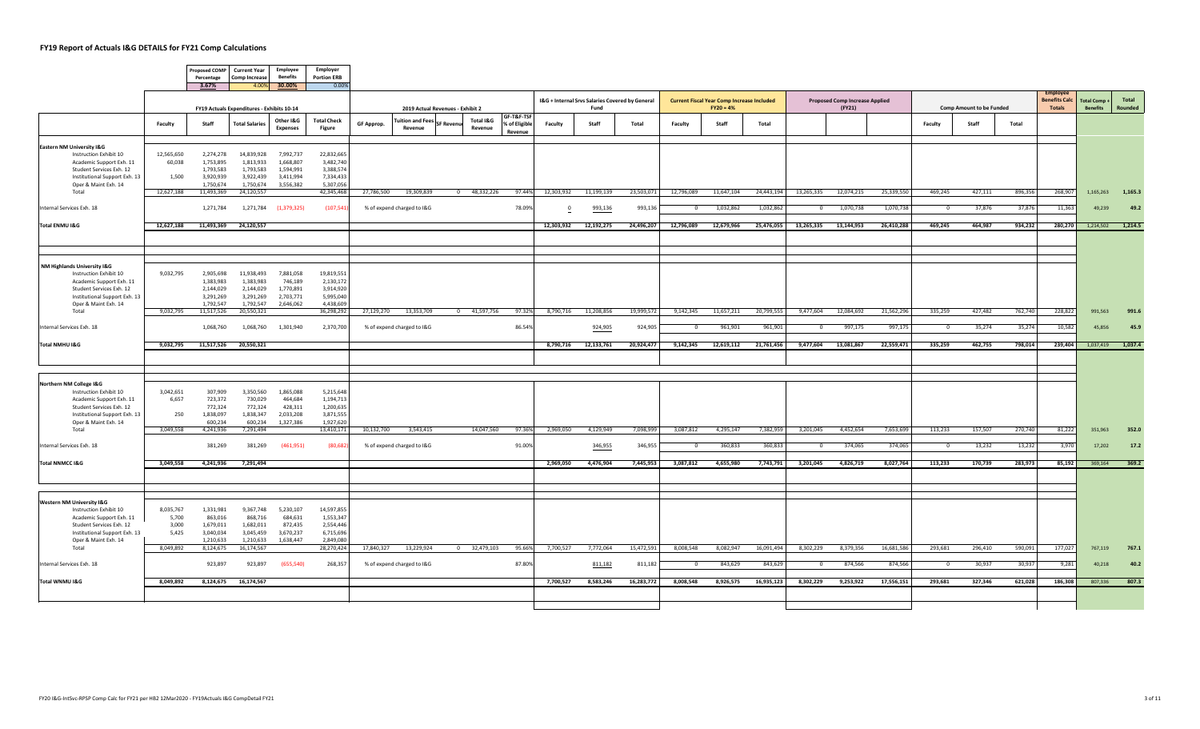|                                                           |                    | Percentage              | Proposed COMP Current Year<br><b>Comp Increase</b> | Employee<br><b>Benefits</b>  | Employer<br><b>Portion ERB</b> |                   |                                    |                  |                      |                                        |            |                                                         |            |                |                                                                  |            |                |                                                 |            |                |                                 |         |                                                  |                                |                   |
|-----------------------------------------------------------|--------------------|-------------------------|----------------------------------------------------|------------------------------|--------------------------------|-------------------|------------------------------------|------------------|----------------------|----------------------------------------|------------|---------------------------------------------------------|------------|----------------|------------------------------------------------------------------|------------|----------------|-------------------------------------------------|------------|----------------|---------------------------------|---------|--------------------------------------------------|--------------------------------|-------------------|
|                                                           |                    | 3.67%                   |                                                    | 4.00% 30.00%                 | 0.00%                          |                   |                                    |                  |                      |                                        |            |                                                         |            |                |                                                                  |            |                |                                                 |            |                |                                 |         |                                                  |                                |                   |
|                                                           |                    |                         | FY19 Actuals Expenditures - Exhibits 10-14         |                              |                                |                   | 2019 Actual Revenues - Exhibit 2   |                  |                      |                                        |            | I&G + Internal Srvs Salaries Covered by General<br>Fund |            |                | <b>Current Fiscal Year Comp Increase Included</b><br>$FY20 = 4%$ |            |                | <b>Proposed Comp Increase Applied</b><br>(FY21) |            |                | <b>Comp Amount to be Funded</b> |         | Employe<br><b>Benefits Calc</b><br><b>Totals</b> | Total Comp+<br><b>Benefits</b> | Total<br>Rounded  |
|                                                           | Faculty            | Staff                   | <b>Total Salaries</b>                              | Other I&G<br><b>Expenses</b> | <b>Total Check</b><br>Figure   | <b>GF Approp.</b> | <b>Fuition and Fees</b><br>Revenue | <b>SF Revenu</b> | Total I&G<br>Revenue | GF-T&F-TSF<br>% of Eligible<br>Revenue | Faculty    | Staff                                                   | Total      | Faculty        | Staff                                                            | Total      |                |                                                 |            | Faculty        | Staff                           | Total   |                                                  |                                |                   |
| Eastern NM University I&G                                 |                    |                         |                                                    |                              |                                |                   |                                    |                  |                      |                                        |            |                                                         |            |                |                                                                  |            |                |                                                 |            |                |                                 |         |                                                  |                                |                   |
| Instruction Exhibit 10                                    | 12,565,650         | 2,274,278               | 14,839,928                                         | 7,992,737                    | 22,832,665                     |                   |                                    |                  |                      |                                        |            |                                                         |            |                |                                                                  |            |                |                                                 |            |                |                                 |         |                                                  |                                |                   |
| Academic Support Exh. 11                                  | 60,038             | 1,753,895               | 1,813,933                                          | 1,668,807                    | 3,482,740                      |                   |                                    |                  |                      |                                        |            |                                                         |            |                |                                                                  |            |                |                                                 |            |                |                                 |         |                                                  |                                |                   |
| Student Services Exh. 12<br>Institutional Support Exh. 13 | 1,500              | 1,793,583<br>3,920,939  | 1,793,583<br>3,922,439                             | 1,594,991<br>3,411,994       | 3,388,574<br>7,334,433         |                   |                                    |                  |                      |                                        |            |                                                         |            |                |                                                                  |            |                |                                                 |            |                |                                 |         |                                                  |                                |                   |
| Oper & Maint Exh. 14                                      |                    | 1,750,674               | 1,750,674                                          | 3,556,382                    | 5,307,056                      |                   |                                    |                  |                      |                                        |            |                                                         |            |                |                                                                  |            |                |                                                 |            |                |                                 |         |                                                  |                                |                   |
| Total                                                     | 12,627,188         | 11,493,369              | 24,120,557                                         |                              | 42,345,468                     | 27,786,500        | 19,309,839                         |                  | 0 48,332,226         | 97.44%                                 | 12,303,932 | 11,199,139                                              | 23,503,071 | 12,796,089     | 11,647,104                                                       | 24,443,194 | 13,265,335     | 12,074,215                                      | 25,339,550 | 469,245        | 427,111                         | 896,356 | 268,907                                          | 1,165,263                      | 1,165.3           |
| Internal Services Exh. 18                                 |                    | 1,271,784               |                                                    | 1,271,784 (1,379,325)        | (107, 541)                     |                   | % of expend charged to I&G         |                  |                      | 78.09%                                 | $^{\circ}$ | 993,136                                                 | 993,136    | $\mathbf{0}$   | 1,032,862                                                        | 1,032,862  | $\overline{0}$ | 1,070,738                                       | 1,070,738  | $\overline{0}$ | 37,876                          | 37,876  | 11,363                                           | 49,239                         | 49.2              |
| Total ENMU I&G                                            | 12,627,188         | 11,493,369              | 24,120,557                                         |                              |                                |                   |                                    |                  |                      |                                        | 12,303,932 | 12,192,275                                              | 24,496,207 | 12,796,089     | 12,679,966                                                       | 25,476,055 | 13,265,335     | 13,144,953                                      | 26,410,288 | 469,245        | 464,987                         | 934,232 | 280,270                                          | 1,214,502                      | 1,214.5           |
|                                                           |                    |                         |                                                    |                              |                                |                   |                                    |                  |                      |                                        |            |                                                         |            |                |                                                                  |            |                |                                                 |            |                |                                 |         |                                                  |                                |                   |
|                                                           |                    |                         |                                                    |                              |                                |                   |                                    |                  |                      |                                        |            |                                                         |            |                |                                                                  |            |                |                                                 |            |                |                                 |         |                                                  |                                |                   |
|                                                           |                    |                         |                                                    |                              |                                |                   |                                    |                  |                      |                                        |            |                                                         |            |                |                                                                  |            |                |                                                 |            |                |                                 |         |                                                  |                                |                   |
| NM Highlands University I&G                               |                    |                         |                                                    |                              |                                |                   |                                    |                  |                      |                                        |            |                                                         |            |                |                                                                  |            |                |                                                 |            |                |                                 |         |                                                  |                                |                   |
| Instruction Exhibit 10<br>Academic Support Exh. 11        | 9,032,795          | 2,905,698<br>1,383,983  | 11,938,493<br>1,383,983                            | 7,881,058<br>746,189         | 19,819,551<br>2,130,172        |                   |                                    |                  |                      |                                        |            |                                                         |            |                |                                                                  |            |                |                                                 |            |                |                                 |         |                                                  |                                |                   |
| Student Services Exh. 12                                  |                    | 2,144,029               | 2,144,029                                          | 1,770,891                    | 3,914,920                      |                   |                                    |                  |                      |                                        |            |                                                         |            |                |                                                                  |            |                |                                                 |            |                |                                 |         |                                                  |                                |                   |
| Institutional Support Exh. 13                             |                    | 3,291,269               | 3,291,269                                          | 2,703,771<br>2,646,062       | 5,995,040<br>4,438,609         |                   |                                    |                  |                      |                                        |            |                                                         |            |                |                                                                  |            |                |                                                 |            |                |                                 |         |                                                  |                                |                   |
| Oper & Maint Exh. 14<br>Total                             | 9,032,795          | 1,792,547<br>11,517,526 | 1,792,547<br>20,550,321                            |                              | 36,298,292                     | 27,129,270        | 13,353,709                         |                  | 0 41,597,756         | 97.32%                                 | 8,790,716  | 11,208,856                                              | 19,999,572 | 9,142,345      | 11,657,211                                                       | 20,799,555 | 9,477,604      | 12,084,692                                      | 21,562,296 | 335,259        | 427,482                         | 762,740 | 228,822                                          | 991,563                        | 991.6             |
|                                                           |                    |                         |                                                    |                              |                                |                   |                                    |                  |                      |                                        |            |                                                         |            |                |                                                                  |            |                |                                                 |            |                |                                 |         |                                                  |                                |                   |
| Internal Services Exh. 18                                 |                    | 1,068,760               | 1,068,760                                          | 1,301,940                    | 2,370,700                      |                   | % of expend charged to I&G         |                  |                      | 86.549                                 |            | 924,905                                                 | 924,905    | $\overline{0}$ | 961,901                                                          | 961,901    | $\circ$        | 997,175                                         | 997,175    | $\overline{0}$ | 35,274                          | 35,274  | 10,582                                           | 45,856                         | 45.9              |
| Total NMHU I&G                                            | 9,032,795          |                         | 11,517,526 20,550,321                              |                              |                                |                   |                                    |                  |                      |                                        | 8,790,716  | 12,133,761                                              | 20,924,477 | 9,142,345      | 12,619,112                                                       | 21,761,456 | 9,477,604      | 13,081,867                                      | 22,559,471 | 335,259        | 462,755                         | 798,014 | 239,404                                          |                                | 1,037,419 1,037.4 |
|                                                           |                    |                         |                                                    |                              |                                |                   |                                    |                  |                      |                                        |            |                                                         |            |                |                                                                  |            |                |                                                 |            |                |                                 |         |                                                  |                                |                   |
|                                                           |                    |                         |                                                    |                              |                                |                   |                                    |                  |                      |                                        |            |                                                         |            |                |                                                                  |            |                |                                                 |            |                |                                 |         |                                                  |                                |                   |
|                                                           |                    |                         |                                                    |                              |                                |                   |                                    |                  |                      |                                        |            |                                                         |            |                |                                                                  |            |                |                                                 |            |                |                                 |         |                                                  |                                |                   |
| Northern NM College I&G                                   |                    |                         |                                                    |                              |                                |                   |                                    |                  |                      |                                        |            |                                                         |            |                |                                                                  |            |                |                                                 |            |                |                                 |         |                                                  |                                |                   |
| Instruction Exhibit 10<br>Academic Support Exh. 11        | 3,042,651<br>6,657 | 307,909<br>723,372      | 3,350,560<br>730,029                               | 1,865,088<br>464,684         | 5,215,648<br>1,194,713         |                   |                                    |                  |                      |                                        |            |                                                         |            |                |                                                                  |            |                |                                                 |            |                |                                 |         |                                                  |                                |                   |
| Student Services Exh. 12                                  |                    | 772,324                 | 772,324                                            | 428,311                      | 1,200,635                      |                   |                                    |                  |                      |                                        |            |                                                         |            |                |                                                                  |            |                |                                                 |            |                |                                 |         |                                                  |                                |                   |
| Institutional Support Exh. 13<br>Oper & Maint Exh. 14     | 250                | 1,838,097<br>600,234    | 1,838,347<br>600,234                               | 2,033,208<br>1,327,386       | 3,871,555<br>1,927,620         |                   |                                    |                  |                      |                                        |            |                                                         |            |                |                                                                  |            |                |                                                 |            |                |                                 |         |                                                  |                                |                   |
| Total                                                     | 3,049,558          | 4,241,936               | 7,291,494                                          |                              | 13,410,171                     | 10,132,700        | 3,543,415                          |                  | 14,047,560           | 97.36%                                 | 2,969,050  | 4,129,949                                               | 7,098,999  | 3,087,812      | 4,295,147                                                        | 7,382,959  | 3,201,045      | 4,452,654                                       | 7,653,699  | 113,233        | 157,507                         | 270,740 | 81,222                                           | 351,963                        | 352.0             |
| Internal Services Exh. 18                                 |                    | 381,269                 | 381,269                                            | (461,951)                    | (80, 682)                      |                   | % of expend charged to I&G         |                  |                      | 91.00%                                 |            | 346,955                                                 | 346,955    | $\Omega$       | 360,833                                                          | 360,833    | $^{\circ}$     | 374,065                                         | 374,065    | $\Omega$       | 13,232                          | 13,232  | 3,970                                            | 17,202                         | 17.2              |
|                                                           |                    |                         |                                                    |                              |                                |                   |                                    |                  |                      |                                        |            |                                                         |            |                |                                                                  |            |                |                                                 |            |                |                                 |         |                                                  |                                |                   |
| <b>Total NNMCC I&amp;G</b>                                | 3,049,558          | 4,241,936               | 7,291,494                                          |                              |                                |                   |                                    |                  |                      |                                        | 2,969,050  | 4,476,904                                               | 7,445,953  | 3,087,812      | 4,655,980                                                        | 7,743,791  | 3,201,045      | 4,826,719                                       | 8,027,764  | 113,233        | 170,739                         | 283,973 | 85,192                                           | 369,164                        | 369.2             |
|                                                           |                    |                         |                                                    |                              |                                |                   |                                    |                  |                      |                                        |            |                                                         |            |                |                                                                  |            |                |                                                 |            |                |                                 |         |                                                  |                                |                   |
|                                                           |                    |                         |                                                    |                              |                                |                   |                                    |                  |                      |                                        |            |                                                         |            |                |                                                                  |            |                |                                                 |            |                |                                 |         |                                                  |                                |                   |
| <b>Western NM University I&amp;G</b>                      |                    |                         |                                                    |                              |                                |                   |                                    |                  |                      |                                        |            |                                                         |            |                |                                                                  |            |                |                                                 |            |                |                                 |         |                                                  |                                |                   |
| Instruction Exhibit 10                                    | 8,035,767          | 1,331,981               | 9,367,748                                          | 5,230,107                    | 14,597,855                     |                   |                                    |                  |                      |                                        |            |                                                         |            |                |                                                                  |            |                |                                                 |            |                |                                 |         |                                                  |                                |                   |
| Academic Support Exh. 11                                  | 5,700              | 863,016                 | 868,716                                            | 684,631                      | 1,553,347                      |                   |                                    |                  |                      |                                        |            |                                                         |            |                |                                                                  |            |                |                                                 |            |                |                                 |         |                                                  |                                |                   |
| Student Services Exh. 12<br>Institutional Support Exh. 13 | 3,000<br>5,425     | 1,679,011<br>3,040,034  | 1,682,011<br>3,045,459                             | 872,435<br>3,670,237         | 2,554,446<br>6,715,696         |                   |                                    |                  |                      |                                        |            |                                                         |            |                |                                                                  |            |                |                                                 |            |                |                                 |         |                                                  |                                |                   |
| Oper & Maint Exh. 14                                      |                    | 1,210,633               | 1,210,633                                          | 1,638,447                    | 2,849,080                      |                   |                                    |                  |                      |                                        |            |                                                         |            |                |                                                                  |            |                |                                                 |            |                |                                 |         |                                                  |                                |                   |
| Total                                                     | 8,049,892          | 8,124,675               | 16,174,567                                         |                              | 28,270,424                     | 17,840,327        | 13,229,924                         |                  | $0$ 32,479,103       | 95.66%                                 | 7,700,527  | 7,772,064                                               | 15,472,591 | 8,008,548      | 8,082,947                                                        | 16,091,494 | 8,302,229      | 8,379,356                                       | 16,681,586 | 293,681        | 296,410                         | 590,091 | 177,027                                          | 767,119                        | 767.1             |
| Internal Services Exh. 18                                 |                    | 923,897                 | 923,897                                            | (655, 540)                   | 268,357                        |                   | % of expend charged to I&G         |                  |                      | 87.80%                                 |            | 811,182                                                 | 811,182    | $\overline{0}$ | 843,629                                                          | 843,629    | $\circ$        | 874,566                                         | 874,566    | $\overline{0}$ | 30,937                          | 30,937  | 9,281                                            | 40,218                         | 40.2              |
| Total WNMU I&G                                            | 8,049,892          | 8,124,675               | 16,174,567                                         |                              |                                |                   |                                    |                  |                      |                                        | 7,700,527  | 8,583,246                                               | 16,283,772 | 8,008,548      | 8,926,575                                                        | 16,935,123 | 8,302,229      | 9,253,922                                       | 17,556,151 | 293,681        | 327,346                         | 621,028 | 186,308                                          | 807,336                        | 807.3             |
|                                                           |                    |                         |                                                    |                              |                                |                   |                                    |                  |                      |                                        |            |                                                         |            |                |                                                                  |            |                |                                                 |            |                |                                 |         |                                                  |                                |                   |
|                                                           |                    |                         |                                                    |                              |                                |                   |                                    |                  |                      |                                        |            |                                                         |            |                |                                                                  |            |                |                                                 |            |                |                                 |         |                                                  |                                |                   |
|                                                           |                    |                         |                                                    |                              |                                |                   |                                    |                  |                      |                                        |            |                                                         |            |                |                                                                  |            |                |                                                 |            |                |                                 |         |                                                  |                                |                   |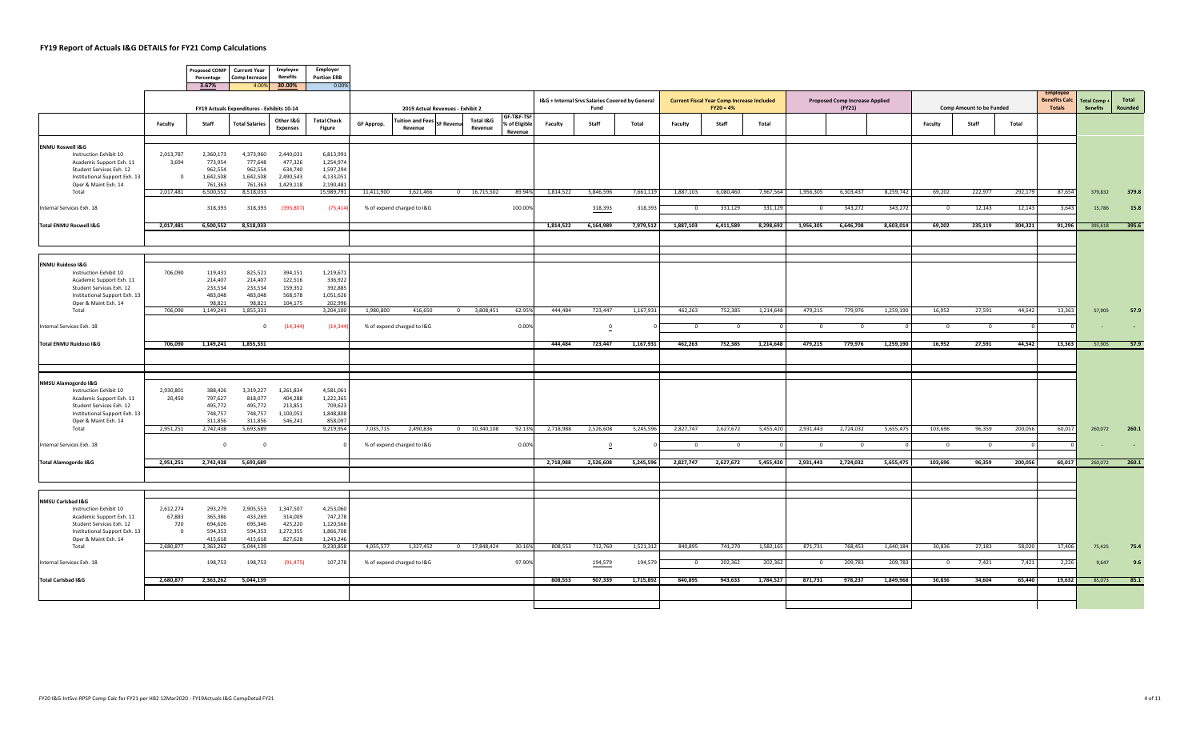|                                                           |             | <b>Proposed COMP</b><br>Percentage | <b>Current Year</b><br><b>Comp Increase</b> | <b>Employee</b><br><b>Benefits</b> | Employer<br><b>Portion ERB</b> |            |                                    |                                  |                      |                          |           |                                                 |           |                |                                                   |           |              |                                       |           |              |                                 |         |                                        |                     |         |
|-----------------------------------------------------------|-------------|------------------------------------|---------------------------------------------|------------------------------------|--------------------------------|------------|------------------------------------|----------------------------------|----------------------|--------------------------|-----------|-------------------------------------------------|-----------|----------------|---------------------------------------------------|-----------|--------------|---------------------------------------|-----------|--------------|---------------------------------|---------|----------------------------------------|---------------------|---------|
|                                                           |             | 3.67%                              |                                             | 4.00% 30.00%                       | 0.00%                          |            |                                    |                                  |                      |                          |           | I&G + Internal Srvs Salaries Covered by General |           |                | <b>Current Fiscal Year Comp Increase Included</b> |           |              | <b>Proposed Comp Increase Applied</b> |           |              |                                 |         | <b>Employe</b><br><b>Benefits Calc</b> | <b>Total Comp +</b> | Total   |
|                                                           |             |                                    | FY19 Actuals Expenditures - Exhibits 10-14  |                                    |                                |            |                                    | 2019 Actual Revenues - Exhibit 2 |                      | GF-T&F-TSF               |           | Fund                                            |           |                | $FY20 = 4%$                                       |           |              | (FY21)                                |           |              | <b>Comp Amount to be Funded</b> |         | <b>Totals</b>                          | <b>Benefits</b>     | Rounded |
|                                                           | Faculty     | Staff                              | <b>Total Salaries</b>                       | Other I&G<br><b>Expenses</b>       | <b>Total Check</b><br>Figure   | GF Approp. | <b>Tuition and Fees</b><br>Revenue | SF Reven                         | Total I&G<br>Revenue | % of Eligible<br>Revenue | Faculty   | Staff                                           | Total     | Faculty        | Staff                                             | Total     |              |                                       |           | Faculty      | Staff                           | Total   |                                        |                     |         |
| <b>ENMU Roswell I&amp;G</b>                               |             |                                    |                                             |                                    |                                |            |                                    |                                  |                      |                          |           |                                                 |           |                |                                                   |           |              |                                       |           |              |                                 |         |                                        |                     |         |
| Instruction Exhibit 10                                    | 2,013,787   | 2,360,173                          | 4,373,960<br>777,648                        | 2,440,031                          | 6,813,991                      |            |                                    |                                  |                      |                          |           |                                                 |           |                |                                                   |           |              |                                       |           |              |                                 |         |                                        |                     |         |
| Academic Support Exh. 11<br>Student Services Exh. 12      | 3,694       | 773,954<br>962,554                 | 962,554                                     | 477,326<br>634,740                 | 1,254,974<br>1,597,294         |            |                                    |                                  |                      |                          |           |                                                 |           |                |                                                   |           |              |                                       |           |              |                                 |         |                                        |                     |         |
| Institutional Support Exh. 13                             | $\Omega$    | 1,642,508                          | 1,642,508                                   | 2,490,543                          | 4,133,051                      |            |                                    |                                  |                      |                          |           |                                                 |           |                |                                                   |           |              |                                       |           |              |                                 |         |                                        |                     |         |
| Oper & Maint Exh. 14<br>Total                             | 2,017,481   | 761,363<br>6,500,552               | 761,363<br>8,518,033                        | 1,429,118                          | 2,190,481<br>15,989,791        | 11,411,900 | 3,621,466                          |                                  | $0$ 16,715,502       | 89.94%                   | 1,814,522 | 5,846,596                                       | 7,661,119 | 1,887,103      | 6,080,460                                         | 7,967,564 | 1,956,305    | 6,303,437                             | 8,259,742 | 69,202       | 222,977                         | 292,179 | 87,654                                 | 379,832             | 379.8   |
|                                                           |             |                                    |                                             |                                    |                                |            |                                    |                                  |                      |                          |           |                                                 |           |                |                                                   |           |              |                                       |           |              |                                 |         |                                        |                     |         |
| Internal Services Exh. 18                                 |             | 318,393                            | 318,393                                     | (393, 807)                         | (75, 414)                      |            | % of expend charged to I&G         |                                  |                      | 100.009                  |           | 318,393                                         | 318,393   | $^{\circ}$     | 331,129                                           | 331,129   | $\circ$      | 343,272                               | 343,272   | $\mathbf{0}$ | 12,143                          | 12,143  | 3,643                                  | 15,786              | 15.8    |
| <b>Total ENMU Roswell I&amp;G</b>                         | 2,017,481   | 6,500,552                          | 8,518,033                                   |                                    |                                |            |                                    |                                  |                      |                          | 1,814,522 | 6,164,989                                       | 7,979,512 | 1,887,103      | 6,411,589                                         | 8,298,692 | 1,956,305    | 6,646,708                             | 8,603,014 | 69,202       | 235,119                         | 304,321 | 91,296                                 | 395,618             | 395.6   |
|                                                           |             |                                    |                                             |                                    |                                |            |                                    |                                  |                      |                          |           |                                                 |           |                |                                                   |           |              |                                       |           |              |                                 |         |                                        |                     |         |
| <b>ENMU Ruidoso I&amp;G</b>                               |             |                                    |                                             |                                    |                                |            |                                    |                                  |                      |                          |           |                                                 |           |                |                                                   |           |              |                                       |           |              |                                 |         |                                        |                     |         |
| Instruction Exhibit 10                                    | 706,090     | 119,431                            | 825,521                                     | 394,151                            | 1,219,671                      |            |                                    |                                  |                      |                          |           |                                                 |           |                |                                                   |           |              |                                       |           |              |                                 |         |                                        |                     |         |
| Academic Support Exh. 11                                  |             | 214,407                            | 214,407                                     | 122,516                            | 336,922                        |            |                                    |                                  |                      |                          |           |                                                 |           |                |                                                   |           |              |                                       |           |              |                                 |         |                                        |                     |         |
| Student Services Exh. 12<br>Institutional Support Exh. 13 |             | 233,534<br>483,048                 | 233,534<br>483,048                          | 159,352<br>568,578                 | 392,885<br>1,051,626           |            |                                    |                                  |                      |                          |           |                                                 |           |                |                                                   |           |              |                                       |           |              |                                 |         |                                        |                     |         |
| Oper & Maint Exh. 14                                      |             | 98,821                             | 98,821                                      | 104,175                            | 202,996                        |            |                                    |                                  |                      |                          |           |                                                 |           |                |                                                   |           |              |                                       |           |              |                                 |         |                                        |                     |         |
| Total                                                     | 706,090     | 1,149,241                          | 1,855,331                                   |                                    | 3,204,100                      | 1,980,800  | 416,650                            |                                  | 0 3,808,451          | 62.95%                   | 444,484   | 723,447                                         | 1,167,931 | 462,263        | 752,385                                           | 1,214,648 | 479,215      | 779,976                               | 1,259,190 | 16,952       | 27,591                          | 44,542  | 13,363                                 | 57,905              | 57.9    |
| Internal Services Exh. 18                                 |             |                                    | $\mathbf{0}$                                | (14, 344)                          | (14, 344)                      |            | % of expend charged to I&G         |                                  |                      | 0.00%                    |           | $\overline{\mathbf{0}}$                         |           | $\Omega$       | $\Omega$                                          |           | $^{\circ}$   | $\mathbf{0}$                          |           | $\Omega$     | $\overline{0}$                  |         |                                        |                     |         |
| Total ENMU Ruidoso I&G                                    | 706,090     |                                    | 1,149,241 1,855,331                         |                                    |                                |            |                                    |                                  |                      |                          | 444,484   | 723,447                                         | 1,167,931 | 462,263        | 752,385                                           | 1,214,648 | 479,215      | 779,976                               | 1,259,190 | 16,952       | 27,591                          | 44,542  | 13,363                                 | 57,905              | 57.9    |
|                                                           |             |                                    |                                             |                                    |                                |            |                                    |                                  |                      |                          |           |                                                 |           |                |                                                   |           |              |                                       |           |              |                                 |         |                                        |                     |         |
|                                                           |             |                                    |                                             |                                    |                                |            |                                    |                                  |                      |                          |           |                                                 |           |                |                                                   |           |              |                                       |           |              |                                 |         |                                        |                     |         |
| NMSU Alamogordo I&G                                       |             |                                    |                                             |                                    |                                |            |                                    |                                  |                      |                          |           |                                                 |           |                |                                                   |           |              |                                       |           |              |                                 |         |                                        |                     |         |
| Instruction Exhibit 10                                    | 2,930,801   | 388,426                            | 3,319,227                                   | 1,261,834                          | 4,581,061                      |            |                                    |                                  |                      |                          |           |                                                 |           |                |                                                   |           |              |                                       |           |              |                                 |         |                                        |                     |         |
| Academic Support Exh. 11                                  | 20,450      | 797,627                            | 818,077                                     | 404,288                            | 1,222,365                      |            |                                    |                                  |                      |                          |           |                                                 |           |                |                                                   |           |              |                                       |           |              |                                 |         |                                        |                     |         |
| Student Services Exh. 12                                  |             | 495,772<br>748,757                 | 495,772<br>748,757                          | 213,851                            | 709,623                        |            |                                    |                                  |                      |                          |           |                                                 |           |                |                                                   |           |              |                                       |           |              |                                 |         |                                        |                     |         |
| Institutional Support Exh. 13<br>Oper & Maint Exh. 14     |             | 311,856                            | 311,856                                     | 1,100,051<br>546,241               | 1,848,808<br>858,097           |            |                                    |                                  |                      |                          |           |                                                 |           |                |                                                   |           |              |                                       |           |              |                                 |         |                                        |                     |         |
| Total                                                     | 2,951,251   | 2,742,438                          | 5,693,689                                   |                                    | 9,219,954                      | 7,035,715  | 2,490,836                          |                                  | $0$ 10,340,108       | 92.13%                   | 2,718,988 | 2,526,608                                       | 5,245,596 | 2,827,747      | 2,627,672                                         | 5,455,420 | 2,931,443    | 2,724,032                             | 5,655,475 | 103,696      | 96,359                          | 200,056 | 60,017                                 | 260,072             | 260.1   |
| Internal Services Exh. 18                                 |             | $\overline{0}$                     | $\overline{0}$                              |                                    |                                |            | % of expend charged to I&G         |                                  |                      | 0.00%                    |           |                                                 |           | $^{\circ}$     | $\mathbf{0}$                                      |           | $\mathbf{0}$ | $\overline{0}$                        |           | $\circ$      | $\overline{0}$                  |         |                                        |                     |         |
| <b>Total Alamogordo I&amp;G</b>                           | 2,951,251   |                                    | 2,742,438 5,693,689                         |                                    |                                |            |                                    |                                  |                      |                          | 2,718,988 | 2,526,608                                       | 5,245,596 | 2,827,747      | 2,627,672                                         | 5,455,420 |              | 2,931,443 2,724,032                   | 5,655,475 | 103,696      | 96,359                          | 200,056 | 60,017                                 | 260,072             | 260.1   |
|                                                           |             |                                    |                                             |                                    |                                |            |                                    |                                  |                      |                          |           |                                                 |           |                |                                                   |           |              |                                       |           |              |                                 |         |                                        |                     |         |
|                                                           |             |                                    |                                             |                                    |                                |            |                                    |                                  |                      |                          |           |                                                 |           |                |                                                   |           |              |                                       |           |              |                                 |         |                                        |                     |         |
| NMSU Carlsbad I&G<br>Instruction Exhibit 10               | 2,612,274   | 293,279                            | 2,905,553                                   | 1,347,507                          | 4,253,060                      |            |                                    |                                  |                      |                          |           |                                                 |           |                |                                                   |           |              |                                       |           |              |                                 |         |                                        |                     |         |
| Academic Support Exh. 11                                  | 67,883      | 365,386                            | 433,269                                     | 314,009                            | 747,278                        |            |                                    |                                  |                      |                          |           |                                                 |           |                |                                                   |           |              |                                       |           |              |                                 |         |                                        |                     |         |
| Student Services Exh. 12                                  | 720         | 694,626                            | 695,346                                     | 425,220                            | 1,120,566                      |            |                                    |                                  |                      |                          |           |                                                 |           |                |                                                   |           |              |                                       |           |              |                                 |         |                                        |                     |         |
| Institutional Support Exh. 13                             | $\mathbf 0$ | 594,353                            | 594,353                                     | 1,272,355                          | 1,866,708                      |            |                                    |                                  |                      |                          |           |                                                 |           |                |                                                   |           |              |                                       |           |              |                                 |         |                                        |                     |         |
| Oper & Maint Exh. 14<br>Total                             | 2,680,877   | 415,618<br>2,363,262               | 415,618<br>5,044,139                        | 827,628                            | 1,243,246<br>9,230,858         | 4,055,577  | 1,327,452                          |                                  | 0 17,848,424         | 30.16%                   | 808,553   | 712,760                                         | 1,521,312 | 840,895        | 741,270                                           | 1,582,165 | 871,731      | 768,453                               | 1,640,184 | 30,836       | 27,183                          | 58,020  | 17,406                                 | 75,425              | 75.4    |
| Internal Services Exh. 18                                 |             | 198,753                            | 198,753                                     | (91, 475)                          | 107,278                        |            | % of expend charged to I&G         |                                  |                      | 97.90%                   |           | 194,579                                         | 194,579   | $\overline{0}$ | 202,362                                           | 202,362   | $\mathbf{0}$ | 209,783                               | 209,783   | $\mathbf{0}$ | 7,421                           | 7,421   | 2,226                                  | 9,647               | 9.6     |
|                                                           |             |                                    |                                             |                                    |                                |            |                                    |                                  |                      |                          |           |                                                 |           |                |                                                   |           |              |                                       |           |              |                                 |         |                                        |                     |         |
| <b>Total Carlsbad I&amp;G</b>                             | 2,680,877   | 2,363,262                          | 5,044,139                                   |                                    |                                |            |                                    |                                  |                      |                          | 808,553   | 907,339                                         | 1,715,892 | 840,895        | 943,633                                           | 1,784,527 | 871,731      | 978,237                               | 1,849,968 | 30,836       | 34,604                          | 65,440  | 19,632                                 | 85,073              | 85.1    |
|                                                           |             |                                    |                                             |                                    |                                |            |                                    |                                  |                      |                          |           |                                                 |           |                |                                                   |           |              |                                       |           |              |                                 |         |                                        |                     |         |
|                                                           |             |                                    |                                             |                                    |                                |            |                                    |                                  |                      |                          |           |                                                 |           |                |                                                   |           |              |                                       |           |              |                                 |         |                                        |                     |         |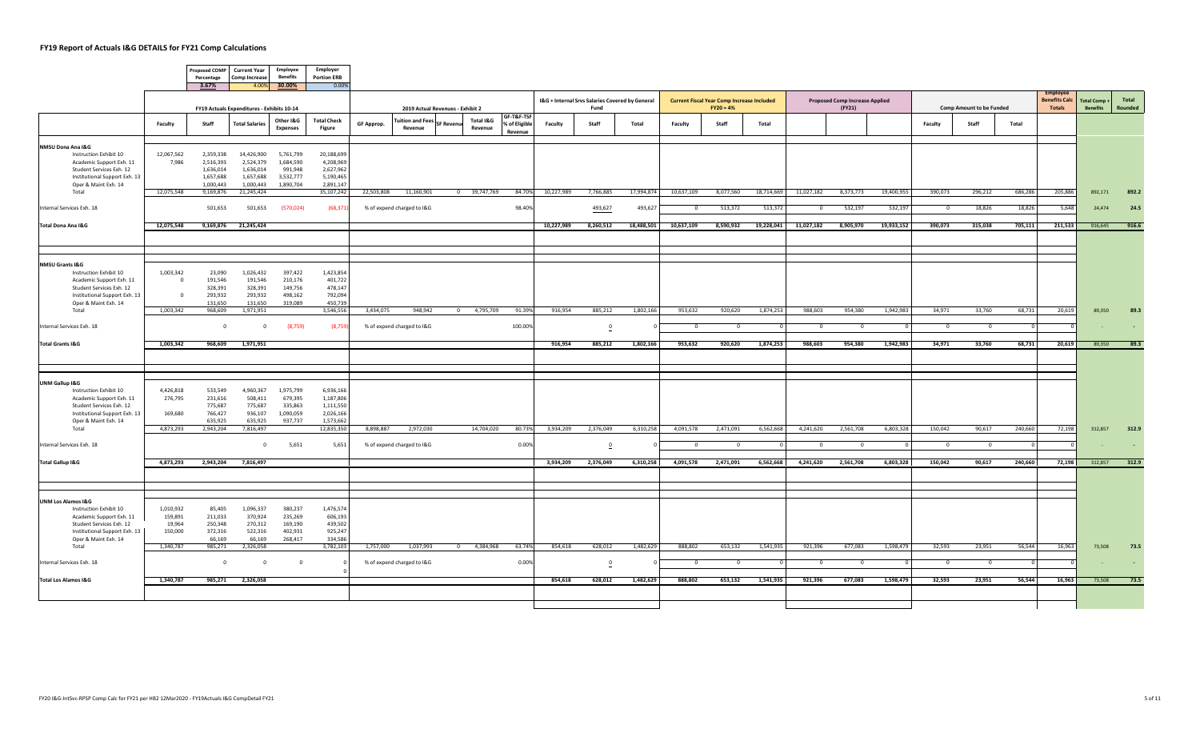$\sqrt{2}$ 

 $\overline{\phantom{a}}$ 

|                                                           |                      | Percentage<br>3.67%                        | Proposed COMP Current Year<br><b>Comp Increase</b> | Employee<br><b>Benefits</b><br>4.00% 30.00% | Employer<br><b>Portion ERB</b><br>0.00% |            |                                    |                                  |                      |                                        |            |                                                         |            |                |                                                                  |            |            |                                                 |            |                |                                 |         |                                           |                                       |                  |
|-----------------------------------------------------------|----------------------|--------------------------------------------|----------------------------------------------------|---------------------------------------------|-----------------------------------------|------------|------------------------------------|----------------------------------|----------------------|----------------------------------------|------------|---------------------------------------------------------|------------|----------------|------------------------------------------------------------------|------------|------------|-------------------------------------------------|------------|----------------|---------------------------------|---------|-------------------------------------------|---------------------------------------|------------------|
|                                                           |                      | FY19 Actuals Expenditures - Exhibits 10-14 |                                                    |                                             |                                         |            |                                    | 2019 Actual Revenues - Exhibit 2 |                      |                                        |            | I&G + Internal Srvs Salaries Covered by General<br>Fund |            |                | <b>Current Fiscal Year Comp Increase Included</b><br>$FY20 = 4%$ |            |            | <b>Proposed Comp Increase Applied</b><br>(FY21) |            |                | <b>Comp Amount to be Funded</b> |         | Employe<br><b>Benefits Calc</b><br>Totals | <b>Total Comp+</b><br><b>Benefits</b> | Total<br>Rounded |
|                                                           | Faculty              | Staff                                      | <b>Total Salaries</b>                              | Other I&G<br><b>Expenses</b>                | <b>Total Check</b><br>Figure            | GF Approp. | <b>Tuition and Fees</b><br>Revenue | SF Revenu                        | Total I&G<br>Revenue | GF-T&F-TSF<br>% of Eligible<br>Revenue | Faculty    | Staff                                                   | Total      | Faculty        | Staff                                                            | Total      |            |                                                 |            | Faculty        | Staff                           | Total   |                                           |                                       |                  |
| NMSU Dona Ana I&G                                         |                      |                                            |                                                    |                                             |                                         |            |                                    |                                  |                      |                                        |            |                                                         |            |                |                                                                  |            |            |                                                 |            |                |                                 |         |                                           |                                       |                  |
| Instruction Exhibit 10                                    | 12,067,562<br>7,986  | 2,359,338<br>2,516,393                     | 14,426,900<br>2,524,379                            | 5,761,799<br>1,684,590                      | 20,188,699<br>4,208,969                 |            |                                    |                                  |                      |                                        |            |                                                         |            |                |                                                                  |            |            |                                                 |            |                |                                 |         |                                           |                                       |                  |
| Academic Support Exh. 11<br>Student Services Exh. 12      |                      | 1,636,014                                  | 1,636,014                                          | 991,948                                     | 2,627,962                               |            |                                    |                                  |                      |                                        |            |                                                         |            |                |                                                                  |            |            |                                                 |            |                |                                 |         |                                           |                                       |                  |
| Institutional Support Exh. 13                             |                      | 1,657,688                                  | 1,657,688                                          | 3,532,777                                   | 5,190,465                               |            |                                    |                                  |                      |                                        |            |                                                         |            |                |                                                                  |            |            |                                                 |            |                |                                 |         |                                           |                                       |                  |
| Oper & Maint Exh. 14<br>Total                             | 12,075,548           | 1,000,443<br>9,169,876                     | 1,000,443<br>21,245,424                            | 1,890,704                                   | 2,891,147<br>35,107,242                 | 22,503,808 | 11,160,901                         |                                  | 0 39,747,769         | 84.709                                 | 10,227,989 | 7,766,885                                               | 17,994,874 | 10,637,109     | 8,077,560                                                        | 18,714,669 | 11,027,182 | 8,373,773                                       | 19,400,955 | 390,073        | 296,212                         | 686,286 | 205,886                                   | 892,171                               | 892.2            |
|                                                           |                      |                                            |                                                    |                                             |                                         |            |                                    |                                  |                      |                                        |            |                                                         |            |                |                                                                  |            |            |                                                 |            |                |                                 |         |                                           |                                       |                  |
| Internal Services Exh. 18                                 |                      | 501,653                                    | 501,653                                            | (570, 024)                                  | (68, 371)                               |            | % of expend charged to I&G         |                                  |                      | 98.409                                 |            | 493,627                                                 | 493,627    | $\overline{0}$ | 513,372                                                          | 513,372    | $^{\circ}$ | 532,197                                         | 532,197    | $\overline{0}$ | 18,826                          | 18,826  | 5,648                                     | 24,474                                | 24.5             |
| Total Dona Ana I&G                                        | 12,075,548           | 9,169,876                                  | 21,245,424                                         |                                             |                                         |            |                                    |                                  |                      |                                        | 10,227,989 | 8,260,512                                               | 18,488,501 | 10,637,109     | 8,590,932                                                        | 19,228,041 | 11,027,182 | 8,905,970                                       | 19,933,152 | 390,073        | 315,038                         | 705,111 | 211,533                                   | 916,645                               | 916.6            |
|                                                           |                      |                                            |                                                    |                                             |                                         |            |                                    |                                  |                      |                                        |            |                                                         |            |                |                                                                  |            |            |                                                 |            |                |                                 |         |                                           |                                       |                  |
| NMSU Grants I&G                                           |                      |                                            |                                                    |                                             |                                         |            |                                    |                                  |                      |                                        |            |                                                         |            |                |                                                                  |            |            |                                                 |            |                |                                 |         |                                           |                                       |                  |
| Instruction Exhibit 10                                    | 1,003,342            | 23,090                                     | 1,026,432                                          | 397,422                                     | 1,423,854                               |            |                                    |                                  |                      |                                        |            |                                                         |            |                |                                                                  |            |            |                                                 |            |                |                                 |         |                                           |                                       |                  |
| Academic Support Exh. 11                                  | $^{\circ}$           | 191,546                                    | 191,546                                            | 210,176                                     | 401,722                                 |            |                                    |                                  |                      |                                        |            |                                                         |            |                |                                                                  |            |            |                                                 |            |                |                                 |         |                                           |                                       |                  |
| Student Services Exh. 12<br>Institutional Support Exh. 13 | $\mathbf 0$          | 328,391<br>293,932                         | 328,391<br>293,932                                 | 149,756<br>498,162                          | 478,147<br>792,094                      |            |                                    |                                  |                      |                                        |            |                                                         |            |                |                                                                  |            |            |                                                 |            |                |                                 |         |                                           |                                       |                  |
| Oper & Maint Exh. 14                                      |                      | 131,650                                    | 131,650                                            | 319,089                                     | 450,739                                 |            |                                    |                                  |                      |                                        |            |                                                         |            |                |                                                                  |            |            |                                                 |            |                |                                 |         |                                           |                                       |                  |
| Total                                                     | 1,003,342            | 968,609                                    | 1,971,951                                          |                                             | 3,546,556                               | 3,434,075  | 948,942                            |                                  | 0 4,795,709          | 91.399                                 | 916,954    | 885,212                                                 | 1,802,166  | 953,632        | 920,620                                                          | 1,874,253  | 988,603    | 954,380                                         | 1,942,983  | 34,971         | 33,760                          | 68,731  | 20,619                                    | 89,350                                | 89.3             |
| Internal Services Exh. 18                                 |                      | $\Omega$                                   | $\mathbf{0}$                                       | (8,759)                                     | (8,759)                                 |            | % of expend charged to I&G         |                                  |                      | 100.009                                |            | $\overline{\mathbf{0}}$                                 |            | $\Omega$       | $\Omega$                                                         |            | $\Omega$   | $\Omega$                                        |            | $\Omega$       | $\Omega$                        |         |                                           |                                       |                  |
| <b>Total Grants I&amp;G</b>                               | 1,003,342            | 968,609                                    | 1,971,951                                          |                                             |                                         |            |                                    |                                  |                      |                                        | 916,954    | 885,212                                                 | 1,802,166  | 953,632        | 920,620                                                          | 1,874,253  | 988,603    | 954,380                                         | 1,942,983  | 34,971         | 33,760                          | 68,731  | 20,619                                    | 89,350                                | 89.3             |
|                                                           |                      |                                            |                                                    |                                             |                                         |            |                                    |                                  |                      |                                        |            |                                                         |            |                |                                                                  |            |            |                                                 |            |                |                                 |         |                                           |                                       |                  |
|                                                           |                      |                                            |                                                    |                                             |                                         |            |                                    |                                  |                      |                                        |            |                                                         |            |                |                                                                  |            |            |                                                 |            |                |                                 |         |                                           |                                       |                  |
| UNM Gallup I&G                                            |                      |                                            |                                                    |                                             |                                         |            |                                    |                                  |                      |                                        |            |                                                         |            |                |                                                                  |            |            |                                                 |            |                |                                 |         |                                           |                                       |                  |
| Instruction Exhibit 10<br>Academic Support Exh. 11        | 4,426,818<br>276,795 | 533,549<br>231,616                         | 4,960,367<br>508,411                               | 1,975,799<br>679,395                        | 6,936,166<br>1,187,806                  |            |                                    |                                  |                      |                                        |            |                                                         |            |                |                                                                  |            |            |                                                 |            |                |                                 |         |                                           |                                       |                  |
| Student Services Exh. 12                                  |                      | 775,687                                    | 775,687                                            | 335,863                                     | 1,111,550                               |            |                                    |                                  |                      |                                        |            |                                                         |            |                |                                                                  |            |            |                                                 |            |                |                                 |         |                                           |                                       |                  |
| Institutional Support Exh. 13                             | 169,680              | 766,427                                    | 936,107                                            | 1,090,059                                   | 2,026,166                               |            |                                    |                                  |                      |                                        |            |                                                         |            |                |                                                                  |            |            |                                                 |            |                |                                 |         |                                           |                                       |                  |
| Oper & Maint Exh. 14<br>Total                             | 4,873,293            | 635,925<br>2,943,204                       | 635,925<br>7,816,497                               | 937,737                                     | 1,573,662<br>12,835,350                 | 8,898,887  | 2,972,030                          |                                  | 14,704,020           | 80.739                                 | 3,934,209  | 2,376,049                                               | 6,310,258  | 4,091,578      | 2,471,091                                                        | 6,562,668  | 4,241,620  | 2,561,708                                       | 6,803,328  | 150,042        | 90,617                          | 240,660 | 72,198                                    | 312,857                               | 312.9            |
| Internal Services Exh. 18                                 |                      |                                            | $\mathbf{0}$                                       | 5,651                                       | 5,651                                   |            | % of expend charged to I&G         |                                  |                      | 0.00%                                  |            | $\overline{\mathbf{0}}$                                 |            | $\overline{0}$ | $\overline{0}$                                                   |            | $\Omega$   | $\Omega$                                        |            | $\overline{0}$ | $\overline{0}$                  |         |                                           |                                       |                  |
|                                                           |                      |                                            |                                                    |                                             |                                         |            |                                    |                                  |                      |                                        |            |                                                         |            |                |                                                                  |            |            |                                                 |            |                |                                 |         |                                           |                                       |                  |
| <b>Total Gallup I&amp;G</b>                               | 4,873,293            | 2,943,204                                  | 7,816,497                                          |                                             |                                         |            |                                    |                                  |                      |                                        | 3,934,209  | 2,376,049                                               | 6,310,258  | 4,091,578      | 2,471,091                                                        | 6,562,668  | 4,241,620  | 2,561,708                                       | 6,803,328  | 150,042        | 90,617                          | 240,660 | 72,198                                    | 312,857                               | 312.9            |
|                                                           |                      |                                            |                                                    |                                             |                                         |            |                                    |                                  |                      |                                        |            |                                                         |            |                |                                                                  |            |            |                                                 |            |                |                                 |         |                                           |                                       |                  |
| <b>UNM Los Alamos I&amp;G</b>                             |                      |                                            |                                                    |                                             |                                         |            |                                    |                                  |                      |                                        |            |                                                         |            |                |                                                                  |            |            |                                                 |            |                |                                 |         |                                           |                                       |                  |
| Instruction Exhibit 10                                    | 1,010,932            | 85,405                                     | 1,096,337                                          | 380,237                                     | 1,476,574                               |            |                                    |                                  |                      |                                        |            |                                                         |            |                |                                                                  |            |            |                                                 |            |                |                                 |         |                                           |                                       |                  |
| Academic Support Exh. 11<br>Student Services Exh. 12      | 159,891<br>19,964    | 211,033<br>250,348                         | 370,924<br>270,312                                 | 235,269<br>169,190                          | 606,193<br>439,502                      |            |                                    |                                  |                      |                                        |            |                                                         |            |                |                                                                  |            |            |                                                 |            |                |                                 |         |                                           |                                       |                  |
| Institutional Support Exh. 13                             | 150,000              | 372,316                                    | 522,316                                            | 402,931                                     | 925,247                                 |            |                                    |                                  |                      |                                        |            |                                                         |            |                |                                                                  |            |            |                                                 |            |                |                                 |         |                                           |                                       |                  |
| Oper & Maint Exh. 14                                      |                      | 66,169                                     | 66,169                                             | 268,417                                     | 334,586                                 |            |                                    |                                  |                      |                                        |            |                                                         |            |                |                                                                  |            |            |                                                 |            |                |                                 |         |                                           |                                       |                  |
| Total                                                     | 1,340,787            | 985,271                                    | 2,326,058                                          |                                             | 3,782,103                               | 1,757,000  | 1,037,993                          |                                  | 0 4,384,968          | 63.749                                 | 854,618    | 628,012                                                 | 1,482,629  | 888,802        | 653,132                                                          | 1,541,935  | 921,396    | 677,083                                         | 1,598,479  | 32,593         | 23,951                          | 56,544  | 16,963                                    | 73,508                                | 73.5             |
| Internal Services Exh. 18                                 |                      | $\Omega$                                   | $\mathbf{0}$                                       | $\overline{\mathbf{0}}$                     |                                         |            | % of expend charged to I&G         |                                  |                      | 0.00%                                  |            | $\overline{\mathbf{0}}$                                 |            | $\overline{0}$ | $\overline{0}$                                                   |            | $\Omega$   | $\Omega$                                        |            | $\overline{0}$ | $\overline{0}$                  |         |                                           |                                       | $\sim$           |
| <b>Total Los Alamos I&amp;G</b>                           | 1,340,787            |                                            | 985,271 2,326,058                                  |                                             |                                         |            |                                    |                                  |                      |                                        | 854,618    | 628,012                                                 | 1,482,629  | 888,802        | 653,132                                                          | 1,541,935  | 921,396    | 677,083                                         | 1,598,479  | 32,593         | 23,951                          | 56,544  | 16,963                                    | 73,508                                | 73.5             |
|                                                           |                      |                                            |                                                    |                                             |                                         |            |                                    |                                  |                      |                                        |            |                                                         |            |                |                                                                  |            |            |                                                 |            |                |                                 |         |                                           |                                       |                  |
|                                                           |                      |                                            |                                                    |                                             |                                         |            |                                    |                                  |                      |                                        |            |                                                         |            |                |                                                                  |            |            |                                                 |            |                |                                 |         |                                           |                                       |                  |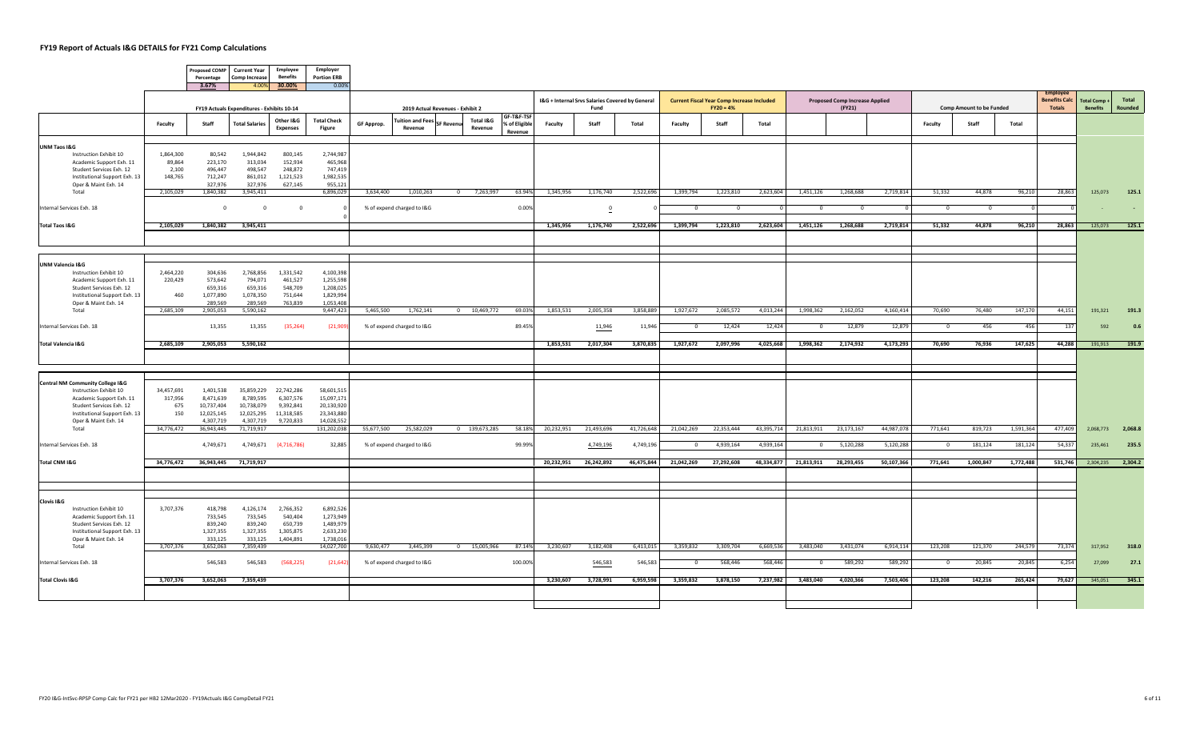$\sqrt{2}$ 

 $\overline{\phantom{a}}$ 

|                                                                       |                     | <b>Proposed COMP</b><br>Percentage | <b>Current Year</b><br><b>Comp Increase</b> | <b>Employee</b><br><b>Benefits</b> | Employer<br><b>Portion ERB</b> |                                  |                                    |                  |                      |                                        |            |                                                 |            |                |                                                   |            |              |                                       |            |                                 |                |               |                                 |                     |         |
|-----------------------------------------------------------------------|---------------------|------------------------------------|---------------------------------------------|------------------------------------|--------------------------------|----------------------------------|------------------------------------|------------------|----------------------|----------------------------------------|------------|-------------------------------------------------|------------|----------------|---------------------------------------------------|------------|--------------|---------------------------------------|------------|---------------------------------|----------------|---------------|---------------------------------|---------------------|---------|
|                                                                       |                     | 3.67%                              |                                             | 4.00% 30.00%                       | 0.00%                          |                                  |                                    |                  |                      |                                        |            | I&G + Internal Srvs Salaries Covered by General |            |                | <b>Current Fiscal Year Comp Increase Included</b> |            |              | <b>Proposed Comp Increase Applied</b> |            |                                 |                |               | Employe<br><b>Benefits Calc</b> | <b>Total Comp +</b> | Total   |
|                                                                       |                     |                                    | FY19 Actuals Expenditures - Exhibits 10-14  |                                    |                                | 2019 Actual Revenues - Exhibit 2 |                                    |                  |                      |                                        | Fund       |                                                 |            | $FY20 = 4%$    |                                                   |            | (FY21)       |                                       |            | <b>Comp Amount to be Funded</b> |                | <b>Totals</b> | <b>Benefits</b>                 | Rounded             |         |
|                                                                       | Faculty             | Staff                              | <b>Total Salaries</b>                       | Other I&G<br><b>Expenses</b>       | <b>Total Check</b><br>Figure   | GF Approp.                       | <b>Tuition and Fees</b><br>Revenue | <b>SF Revent</b> | Total I&G<br>Revenue | GF-T&F-TSF<br>% of Eligible<br>Revenue | Faculty    | Staff                                           | Total      | Faculty        | Staff                                             | Total      |              |                                       |            | Faculty                         | Staff          | Total         |                                 |                     |         |
| UNM Taos I&G                                                          |                     |                                    |                                             |                                    |                                |                                  |                                    |                  |                      |                                        |            |                                                 |            |                |                                                   |            |              |                                       |            |                                 |                |               |                                 |                     |         |
| Instruction Exhibit 10<br>Academic Support Exh. 11                    | 1,864,300<br>89,864 | 80,542<br>223,170                  | 1,944,842<br>313,034                        | 800,145<br>152,934                 | 2,744,987<br>465,968           |                                  |                                    |                  |                      |                                        |            |                                                 |            |                |                                                   |            |              |                                       |            |                                 |                |               |                                 |                     |         |
| Student Services Exh. 12                                              | 2,100               | 496,447                            | 498,547                                     | 248,872                            | 747,419                        |                                  |                                    |                  |                      |                                        |            |                                                 |            |                |                                                   |            |              |                                       |            |                                 |                |               |                                 |                     |         |
| Institutional Support Exh. 13                                         | 148,765             | 712,247                            | 861,012                                     | 1,121,523                          | 1,982,535                      |                                  |                                    |                  |                      |                                        |            |                                                 |            |                |                                                   |            |              |                                       |            |                                 |                |               |                                 |                     |         |
| Oper & Maint Exh. 14<br>Total                                         | 2,105,029           | 327,976<br>1,840,382               | 327,976<br>3,945,411                        | 627,145                            | 955,121<br>6,896,029           | 3,634,400                        | 1,010,263                          |                  | 0 7,263,997          | 63.94%                                 | 1,345,956  | 1,176,740                                       | 2,522,696  | 1,399,794      | 1,223,810                                         | 2,623,604  | 1,451,126    | 1,268,688                             | 2,719,814  | 51,332                          | 44,878         | 96,210        | 28,863                          | 125,073             | 125.1   |
| Internal Services Exh. 18                                             |                     | $\overline{0}$                     | $\mathbf{0}$                                | $\overline{0}$                     |                                |                                  | % of expend charged to I&G         |                  |                      | 0.00%                                  |            | $\overline{\mathbf{0}}$                         |            | $^{\circ}$     | $^{\circ}$                                        |            | $\mathbf{0}$ | $\overline{0}$                        |            | $\overline{0}$                  | $\overline{0}$ |               |                                 |                     |         |
|                                                                       |                     |                                    |                                             |                                    |                                |                                  |                                    |                  |                      |                                        |            |                                                 |            |                |                                                   |            |              |                                       |            |                                 |                |               |                                 |                     |         |
| <b>Total Taos I&amp;G</b>                                             | 2,105,029           | 1,840,382                          | 3,945,411                                   |                                    |                                |                                  |                                    |                  |                      |                                        | 1,345,956  | 1,176,740                                       | 2,522,696  | 1,399,794      | 1,223,810                                         | 2,623,604  | 1,451,126    | 1,268,688                             | 2,719,814  | 51,332                          | 44,878         | 96,210        | 28,863                          | 125,073             | 125.1   |
|                                                                       |                     |                                    |                                             |                                    |                                |                                  |                                    |                  |                      |                                        |            |                                                 |            |                |                                                   |            |              |                                       |            |                                 |                |               |                                 |                     |         |
| <b>UNM Valencia I&amp;G</b>                                           |                     |                                    |                                             |                                    |                                |                                  |                                    |                  |                      |                                        |            |                                                 |            |                |                                                   |            |              |                                       |            |                                 |                |               |                                 |                     |         |
| Instruction Exhibit 10                                                | 2,464,220           | 304,636                            | 2,768,856                                   | 1,331,542                          | 4,100,398                      |                                  |                                    |                  |                      |                                        |            |                                                 |            |                |                                                   |            |              |                                       |            |                                 |                |               |                                 |                     |         |
| Academic Support Exh. 11<br>Student Services Exh. 12                  | 220,429             | 573,642<br>659,316                 | 794,071<br>659,316                          | 461,527<br>548,709                 | 1,255,598<br>1,208,025         |                                  |                                    |                  |                      |                                        |            |                                                 |            |                |                                                   |            |              |                                       |            |                                 |                |               |                                 |                     |         |
| Institutional Support Exh. 13                                         | 460                 | 1,077,890                          | 1,078,350                                   | 751,644                            | 1,829,994                      |                                  |                                    |                  |                      |                                        |            |                                                 |            |                |                                                   |            |              |                                       |            |                                 |                |               |                                 |                     |         |
| Oper & Maint Exh. 14                                                  |                     | 289,569                            | 289,569                                     | 763,839                            | 1,053,408<br>9,447,423         |                                  |                                    |                  | 0 10,469,772         | 69.03%                                 |            |                                                 |            |                |                                                   |            |              |                                       |            |                                 | 76,480         |               |                                 |                     |         |
| Total                                                                 | 2,685,109           | 2,905,053                          | 5,590,162                                   |                                    |                                | 5,465,500                        | 1,762,141                          |                  |                      |                                        | 1,853,531  | 2,005,358                                       | 3,858,889  | 1,927,672      | 2,085,572                                         | 4,013,244  | 1,998,362    | 2,162,052                             | 4,160,414  | 70,690                          |                | 147,170       | 44,151                          | 191,321             | 191.3   |
| Internal Services Exh. 18                                             |                     | 13,355                             | 13,355                                      | (35, 264)                          | (21, 909)                      |                                  | % of expend charged to I&G         |                  |                      | 89.45%                                 |            | 11,946                                          | 11,946     | $\Omega$       | 12,424                                            | 12,424     | $\Omega$     | 12,879                                | 12,879     | $\Omega$                        | 456            | 456           | 137                             | 592                 | 0.6     |
| Total Valencia I&G                                                    | 2,685,109           | 2,905,053                          | 5,590,162                                   |                                    |                                |                                  |                                    |                  |                      |                                        | 1,853,531  | 2,017,304                                       | 3,870,835  | 1,927,672      | 2,097,996                                         | 4,025,668  | 1,998,362    | 2,174,932                             | 4,173,293  | 70,690                          | 76,936         | 147,625       | 44,288                          | 191,913             | 191.9   |
|                                                                       |                     |                                    |                                             |                                    |                                |                                  |                                    |                  |                      |                                        |            |                                                 |            |                |                                                   |            |              |                                       |            |                                 |                |               |                                 |                     |         |
|                                                                       |                     |                                    |                                             |                                    |                                |                                  |                                    |                  |                      |                                        |            |                                                 |            |                |                                                   |            |              |                                       |            |                                 |                |               |                                 |                     |         |
| <b>Central NM Community College I&amp;G</b><br>Instruction Exhibit 10 | 34,457,691          | 1,401,538                          | 35,859,229                                  | 22,742,286                         | 58,601,515                     |                                  |                                    |                  |                      |                                        |            |                                                 |            |                |                                                   |            |              |                                       |            |                                 |                |               |                                 |                     |         |
| Academic Support Exh. 11                                              | 317,956             | 8,471,639                          | 8,789,595                                   | 6,307,576                          | 15,097,171                     |                                  |                                    |                  |                      |                                        |            |                                                 |            |                |                                                   |            |              |                                       |            |                                 |                |               |                                 |                     |         |
| Student Services Exh. 12<br>Institutional Support Exh. 13             | 675<br>150          | 10,737,404<br>12,025,145           | 10,738,079<br>12,025,295                    | 9,392,841<br>11,318,585            | 20,130,920<br>23,343,880       |                                  |                                    |                  |                      |                                        |            |                                                 |            |                |                                                   |            |              |                                       |            |                                 |                |               |                                 |                     |         |
| Oper & Maint Exh. 14                                                  |                     | 4,307,719                          | 4,307,719                                   | 9,720,833                          | 14,028,552                     |                                  |                                    |                  |                      |                                        |            |                                                 |            |                |                                                   |            |              |                                       |            |                                 |                |               |                                 |                     |         |
| Total                                                                 | 34,776,472          | 36,943,445                         | 71,719,917                                  |                                    | 131,202,038                    | 55,677,500                       | 25,582,029                         |                  | $0$ 139,673,285      | 58.18%                                 | 20,232,951 | 21,493,696                                      | 41,726,648 | 21,042,269     | 22,353,444                                        | 43,395,714 | 21,813,911   | 23,173,167                            | 44,987,078 | 771,641                         | 819,723        | 1,591,364     | 477,409                         | 2,068,773           | 2,068.8 |
| Internal Services Exh. 18                                             |                     | 4,749,671                          | 4,749,671                                   | (4,716,786)                        | 32,885                         |                                  | % of expend charged to I&G         |                  |                      | 99.99%                                 |            | 4,749,196                                       | 4,749,196  | $\overline{0}$ | 4,939,164                                         | 4,939,164  |              | 5,120,288<br>$\overline{0}$           | 5,120,288  | $\overline{0}$                  | 181,124        | 181,124       | 54,337                          | 235,461             | 235.5   |
| Total CNM I&G                                                         | 34,776,472          |                                    | 36,943,445 71,719,917                       |                                    |                                |                                  |                                    |                  |                      |                                        | 20,232,951 | 26,242,892                                      | 46,475,844 | 21,042,269     | 27,292,608                                        | 48,334,877 |              | 21,813,911 28,293,455                 | 50,107,366 | 771,641                         | 1,000,847      | 1,772,488     | 531,746                         | 2,304,235 2,304.2   |         |
|                                                                       |                     |                                    |                                             |                                    |                                |                                  |                                    |                  |                      |                                        |            |                                                 |            |                |                                                   |            |              |                                       |            |                                 |                |               |                                 |                     |         |
|                                                                       |                     |                                    |                                             |                                    |                                |                                  |                                    |                  |                      |                                        |            |                                                 |            |                |                                                   |            |              |                                       |            |                                 |                |               |                                 |                     |         |
| <b>Clovis I&amp;G</b><br>Instruction Exhibit 10                       |                     | 418,798                            | 4,126,174                                   | 2,766,352                          |                                |                                  |                                    |                  |                      |                                        |            |                                                 |            |                |                                                   |            |              |                                       |            |                                 |                |               |                                 |                     |         |
| Academic Support Exh. 11                                              | 3,707,376           | 733,545                            | 733,545                                     | 540.404                            | 6,892,526<br>1,273,949         |                                  |                                    |                  |                      |                                        |            |                                                 |            |                |                                                   |            |              |                                       |            |                                 |                |               |                                 |                     |         |
| Student Services Exh. 12                                              |                     | 839,240                            | 839,240                                     | 650,739                            | 1,489,979                      |                                  |                                    |                  |                      |                                        |            |                                                 |            |                |                                                   |            |              |                                       |            |                                 |                |               |                                 |                     |         |
| Institutional Support Exh. 13                                         |                     | 1,327,355                          | 1,327,355                                   | 1,305,875                          | 2,633,230                      |                                  |                                    |                  |                      |                                        |            |                                                 |            |                |                                                   |            |              |                                       |            |                                 |                |               |                                 |                     |         |
| Oper & Maint Exh. 14<br>Total                                         | 3,707,376           | 333,125<br>3,652,063               | 333,125<br>7,359,439                        | 1,404,891                          | 1,738,016<br>14,027,700        | 9,630,477                        | 3,445,399                          |                  | 0 15,005,966         | 87.14%                                 | 3,230,607  | 3,182,408                                       | 6,413,015  | 3,359,832      | 3,309,704                                         | 6,669,536  | 3,483,040    | 3,431,074                             | 6,914,114  | 123,208                         | 121,370        | 244,579       | 73,374                          | 317,952             | 318.0   |
| Internal Services Exh. 18                                             |                     | 546,583                            | 546,583                                     | (568, 225)                         | (21, 642)                      |                                  | % of expend charged to I&G         |                  |                      | 100.00%                                |            | 546,583                                         | 546,583    | $\Omega$       | 568,446                                           | 568,446    | $^{\circ}$   | 589,292                               | 589,292    | $^{\circ}$                      | 20,845         | 20,845        | 6,254                           | 27,099              | 27.1    |
| <b>Total Clovis I&amp;G</b>                                           | 3,707,376           | 3,652,063                          | 7,359,439                                   |                                    |                                |                                  |                                    |                  |                      |                                        | 3,230,607  | 3,728,991                                       | 6,959,598  | 3,359,832      | 3,878,150                                         | 7,237,982  | 3,483,040    | 4,020,366                             | 7,503,406  | 123,208                         | 142,216        | 265,424       | 79.627                          | 345,051             | 345.1   |
|                                                                       |                     |                                    |                                             |                                    |                                |                                  |                                    |                  |                      |                                        |            |                                                 |            |                |                                                   |            |              |                                       |            |                                 |                |               |                                 |                     |         |
|                                                                       |                     |                                    |                                             |                                    |                                |                                  |                                    |                  |                      |                                        |            |                                                 |            |                |                                                   |            |              |                                       |            |                                 |                |               |                                 |                     |         |
|                                                                       |                     |                                    |                                             |                                    |                                |                                  |                                    |                  |                      |                                        |            |                                                 |            |                |                                                   |            |              |                                       |            |                                 |                |               |                                 |                     |         |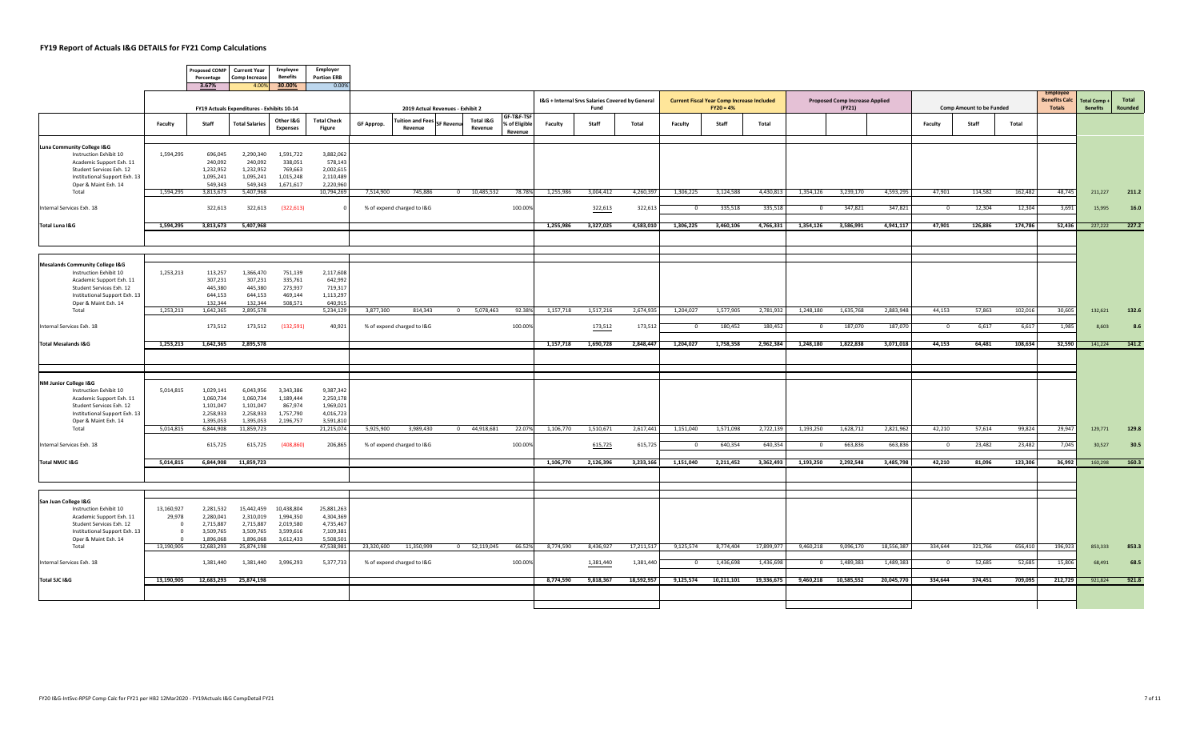|                                                                      |                                  | Percentage                                 | Proposed COMP Current Year<br><b>Comp Increase</b> | Employee<br><b>Benefits</b>  | Employer<br><b>Portion ERB</b> |            |                                    |                 |                           |                                        |           |                                                         |            |                |                                                                  |            |              |                                                 |            |                |                                 |         |                                       |                                       |                  |
|----------------------------------------------------------------------|----------------------------------|--------------------------------------------|----------------------------------------------------|------------------------------|--------------------------------|------------|------------------------------------|-----------------|---------------------------|----------------------------------------|-----------|---------------------------------------------------------|------------|----------------|------------------------------------------------------------------|------------|--------------|-------------------------------------------------|------------|----------------|---------------------------------|---------|---------------------------------------|---------------------------------------|------------------|
|                                                                      |                                  | 3.67%                                      |                                                    | 4.00% 30.00%                 | 0.00%                          |            |                                    |                 |                           |                                        |           |                                                         |            |                |                                                                  |            |              |                                                 |            |                |                                 |         | <b>Employe</b>                        |                                       |                  |
|                                                                      |                                  | FY19 Actuals Expenditures - Exhibits 10-14 |                                                    |                              |                                |            | 2019 Actual Revenues - Exhibit 2   |                 |                           |                                        |           | I&G + Internal Srvs Salaries Covered by General<br>Fund |            |                | <b>Current Fiscal Year Comp Increase Included</b><br>$FY20 = 4%$ |            |              | <b>Proposed Comp Increase Applied</b><br>(FY21) |            |                | <b>Comp Amount to be Funded</b> |         | <b>Benefits Calc</b><br><b>Totals</b> | <b>Total Comp+</b><br><b>Benefits</b> | Total<br>Rounded |
|                                                                      | Faculty                          | Staff                                      | <b>Total Salaries</b>                              | Other I&G<br><b>Expenses</b> | <b>Total Check</b><br>Figure   | GF Approp. | <b>Fuition and Fees</b><br>Revenue | <b>SF Reven</b> | Total I&G<br>Revenue      | GF-T&F-TSF<br>% of Eligible<br>Revenue | Faculty   | Staff                                                   | Total      | Faculty        | Staff                                                            | Total      |              |                                                 |            | Faculty        | Staff                           | Total   |                                       |                                       |                  |
| Luna Community College I&G                                           |                                  |                                            |                                                    |                              |                                |            |                                    |                 |                           |                                        |           |                                                         |            |                |                                                                  |            |              |                                                 |            |                |                                 |         |                                       |                                       |                  |
| Instruction Exhibit 10<br>Academic Support Exh. 11                   | 1,594,295                        | 696,045<br>240,092                         | 2,290,340<br>240,092                               | 1,591,722<br>338,051         | 3,882,062<br>578,143           |            |                                    |                 |                           |                                        |           |                                                         |            |                |                                                                  |            |              |                                                 |            |                |                                 |         |                                       |                                       |                  |
| Student Services Exh. 12                                             |                                  | 1,232,952                                  | 1,232,952                                          | 769,663                      | 2,002,615                      |            |                                    |                 |                           |                                        |           |                                                         |            |                |                                                                  |            |              |                                                 |            |                |                                 |         |                                       |                                       |                  |
| Institutional Support Exh. 13                                        |                                  | 1,095,241                                  | 1,095,241                                          | 1,015,248                    | 2,110,489                      |            |                                    |                 |                           |                                        |           |                                                         |            |                |                                                                  |            |              |                                                 |            |                |                                 |         |                                       |                                       |                  |
| Oper & Maint Exh. 14<br>Total                                        | 1,594,295                        | 549,343<br>3,813,673                       | 549,343<br>5,407,968                               | 1,671,617                    | 2,220,960<br>10,794,269        | 7,514,900  | 745,886                            |                 | $\overline{0}$ 10,485,532 | 78.78%                                 | 1,255,986 | 3,004,412                                               | 4,260,397  | 1,306,225      | 3,124,588                                                        | 4,430,813  | 1,354,126    | 3,239,170                                       | 4,593,295  | 47,901         | 114,582                         | 162,482 | 48,745                                | 211,227                               | 211.2            |
|                                                                      |                                  |                                            |                                                    |                              |                                |            |                                    |                 |                           |                                        |           |                                                         |            |                |                                                                  |            |              |                                                 |            |                |                                 |         |                                       |                                       |                  |
| Internal Services Exh. 18                                            |                                  | 322,613                                    | 322,613                                            | (322, 613)                   |                                |            | % of expend charged to I&G         |                 |                           | 100.00%                                |           | 322,613                                                 | 322,613    | $\mathbf{0}$   | 335,518                                                          | 335,518    | $^{\circ}$   | 347,821                                         | 347,821    | $\overline{0}$ | 12,304                          | 12,304  | 3,691                                 | 15,995                                | 16.0             |
| Total Luna I&G                                                       | 1,594,295                        | 3,813,673                                  | 5,407,968                                          |                              |                                |            |                                    |                 |                           |                                        | 1,255,986 | 3,327,025                                               | 4,583,010  | 1,306,225      | 3,460,106                                                        | 4,766,331  | 1,354,126    | 3,586,991                                       | 4,941,117  | 47,901         | 126,886                         | 174,786 | 52,436                                | 227,222                               | 227.2            |
|                                                                      |                                  |                                            |                                                    |                              |                                |            |                                    |                 |                           |                                        |           |                                                         |            |                |                                                                  |            |              |                                                 |            |                |                                 |         |                                       |                                       |                  |
|                                                                      |                                  |                                            |                                                    |                              |                                |            |                                    |                 |                           |                                        |           |                                                         |            |                |                                                                  |            |              |                                                 |            |                |                                 |         |                                       |                                       |                  |
| <b>Mesalands Community College I&amp;G</b><br>Instruction Exhibit 10 | 1,253,213                        | 113,257                                    | 1,366,470                                          | 751,139                      | 2,117,608                      |            |                                    |                 |                           |                                        |           |                                                         |            |                |                                                                  |            |              |                                                 |            |                |                                 |         |                                       |                                       |                  |
| Academic Support Exh. 11                                             |                                  | 307,231                                    | 307,231                                            | 335,761                      | 642,992                        |            |                                    |                 |                           |                                        |           |                                                         |            |                |                                                                  |            |              |                                                 |            |                |                                 |         |                                       |                                       |                  |
| Student Services Exh. 12<br>Institutional Support Exh. 13            |                                  | 445,380<br>644,153                         | 445,380<br>644,153                                 | 273,937<br>469,144           | 719,317<br>1,113,297           |            |                                    |                 |                           |                                        |           |                                                         |            |                |                                                                  |            |              |                                                 |            |                |                                 |         |                                       |                                       |                  |
| Oper & Maint Exh. 14                                                 |                                  | 132,344                                    | 132,344                                            | 508,571                      | 640,915                        |            |                                    |                 |                           |                                        |           |                                                         |            |                |                                                                  |            |              |                                                 |            |                |                                 |         |                                       |                                       |                  |
| Total                                                                | 1,253,213                        | 1,642,365                                  | 2,895,578                                          |                              | 5,234,129                      | 3,877,300  | 814,343                            |                 | 0 5,078,463               | 92.38%                                 | 1,157,718 | 1,517,216                                               | 2,674,935  | 1,204,027      | 1,577,905                                                        | 2,781,932  | 1,248,180    | 1,635,768                                       | 2,883,948  | 44,153         | 57,863                          | 102,016 | 30,605                                | 132,621                               | 132.6            |
| Internal Services Exh. 18                                            |                                  | 173,512                                    | 173,512                                            | (132,591)                    | 40,921                         |            | % of expend charged to I&G         |                 |                           | 100.00%                                |           | 173,512                                                 | 173,512    | $\Omega$       | 180,452                                                          | 180,452    | $\Omega$     | 187,070                                         | 187,070    | $\Omega$       | 6,617                           | 6,617   | 1,985                                 | 8.603                                 | 8.6              |
| <b>Total Mesalands I&amp;G</b>                                       | 1,253,213                        | 1,642,365                                  | 2,895,578                                          |                              |                                |            |                                    |                 |                           |                                        | 1,157,718 | 1,690,728                                               | 2,848,447  | 1,204,027      | 1,758,358                                                        | 2,962,384  | 1,248,180    | 1,822,838                                       | 3,071,018  | 44,153         | 64,481                          | 108,634 | 32,590                                | 141,224                               | 141.2            |
|                                                                      |                                  |                                            |                                                    |                              |                                |            |                                    |                 |                           |                                        |           |                                                         |            |                |                                                                  |            |              |                                                 |            |                |                                 |         |                                       |                                       |                  |
|                                                                      |                                  |                                            |                                                    |                              |                                |            |                                    |                 |                           |                                        |           |                                                         |            |                |                                                                  |            |              |                                                 |            |                |                                 |         |                                       |                                       |                  |
| NM Junior College I&G                                                |                                  |                                            |                                                    |                              |                                |            |                                    |                 |                           |                                        |           |                                                         |            |                |                                                                  |            |              |                                                 |            |                |                                 |         |                                       |                                       |                  |
| Instruction Exhibit 10<br>Academic Support Exh. 11                   | 5,014,815                        | 1,029,141<br>1,060,734                     | 6,043,956<br>1,060,734                             | 3,343,386<br>1,189,444       | 9,387,342<br>2,250,178         |            |                                    |                 |                           |                                        |           |                                                         |            |                |                                                                  |            |              |                                                 |            |                |                                 |         |                                       |                                       |                  |
| Student Services Exh. 12                                             |                                  | 1,101,047                                  | 1,101,047                                          | 867,974                      | 1,969,021                      |            |                                    |                 |                           |                                        |           |                                                         |            |                |                                                                  |            |              |                                                 |            |                |                                 |         |                                       |                                       |                  |
| Institutional Support Exh. 13<br>Oper & Maint Exh. 14                |                                  | 2,258,933<br>1,395,053                     | 2,258,933<br>1,395,053                             | 1,757,790<br>2,196,757       | 4,016,723<br>3,591,810         |            |                                    |                 |                           |                                        |           |                                                         |            |                |                                                                  |            |              |                                                 |            |                |                                 |         |                                       |                                       |                  |
| Total                                                                | 5,014,815                        | 6,844,908                                  | 11,859,723                                         |                              | 21,215,074                     | 5,925,900  | 3,989,430                          |                 | 0 44,918,681              | 22.07%                                 | 1,106,770 | 1,510,671                                               | 2,617,441  | 1,151,040      | 1,571,098                                                        | 2,722,139  | 1,193,250    | 1,628,712                                       | 2,821,962  | 42,210         | 57,614                          | 99,824  | 29,947                                | 129,771                               | 129.8            |
| Internal Services Exh. 18                                            |                                  | 615,725                                    | 615,725                                            | (408, 860)                   | 206,865                        |            | % of expend charged to I&G         |                 |                           | 100.00%                                |           | 615,725                                                 | 615,725    | $\overline{0}$ | 640,354                                                          | 640,354    | $\Omega$     | 663,836                                         | 663,836    | $\overline{0}$ | 23,482                          | 23,482  | 7,045                                 | 30,527                                | 30.5             |
| Total NMJC I&G                                                       | 5,014,815                        |                                            | 6,844,908 11,859,723                               |                              |                                |            |                                    |                 |                           |                                        | 1,106,770 | 2,126,396                                               | 3,233,166  | 1,151,040      | 2,211,452                                                        | 3,362,493  | 1,193,250    | 2,292,548                                       | 3,485,798  | 42,210         | 81,096                          | 123,306 | 36,992                                | 160,298                               | 160.3            |
|                                                                      |                                  |                                            |                                                    |                              |                                |            |                                    |                 |                           |                                        |           |                                                         |            |                |                                                                  |            |              |                                                 |            |                |                                 |         |                                       |                                       |                  |
|                                                                      |                                  |                                            |                                                    |                              |                                |            |                                    |                 |                           |                                        |           |                                                         |            |                |                                                                  |            |              |                                                 |            |                |                                 |         |                                       |                                       |                  |
| San Juan College I&G<br>Instruction Exhibit 10                       | 13,160,927                       | 2,281,532                                  | 15,442,459                                         | 10,438,804                   | 25,881,263                     |            |                                    |                 |                           |                                        |           |                                                         |            |                |                                                                  |            |              |                                                 |            |                |                                 |         |                                       |                                       |                  |
| Academic Support Exh. 11                                             | 29,978                           | 2,280,041                                  | 2,310,019                                          | 1,994,350                    | 4,304,369                      |            |                                    |                 |                           |                                        |           |                                                         |            |                |                                                                  |            |              |                                                 |            |                |                                 |         |                                       |                                       |                  |
| Student Services Exh. 12                                             | $\Omega$                         | 2,715,887                                  | 2,715,887                                          | 2,019,580                    | 4,735,467                      |            |                                    |                 |                           |                                        |           |                                                         |            |                |                                                                  |            |              |                                                 |            |                |                                 |         |                                       |                                       |                  |
| Institutional Support Exh. 13                                        | $\overline{0}$<br>$\overline{0}$ | 3,509,765                                  | 3,509,765                                          | 3,599,616                    | 7,109,381                      |            |                                    |                 |                           |                                        |           |                                                         |            |                |                                                                  |            |              |                                                 |            |                |                                 |         |                                       |                                       |                  |
| Oper & Maint Exh. 14<br>Total                                        | 13,190,905                       | 1,896,068<br>12,683,293                    | 1,896,068<br>25,874,198                            | 3,612,433                    | 5,508,501<br>47,538,981        | 23,320,600 | 11,350,999                         |                 | 0 52,119,045              | 66.52%                                 | 8,774,590 | 8,436,927                                               | 17,211,517 | 9,125,574      | 8,774,404                                                        | 17,899,977 | 9,460,218    | 9,096,170                                       | 18,556,387 | 334,644        | 321,766                         | 656,410 | 196,923                               | 853,333                               | 853.3            |
| Internal Services Exh. 18                                            |                                  | 1,381,440                                  | 1,381,440                                          | 3,996,293                    | 5,377,733                      |            | % of expend charged to I&G         |                 |                           | 100.00%                                |           | 1,381,440                                               | 1,381,440  | $\circ$        | 1,436,698                                                        | 1,436,698  | $\mathbf{0}$ | 1,489,383                                       | 1,489,383  | $\mathbf{0}$   | 52,685                          | 52,685  | 15,806                                | 68,491                                | 68.5             |
|                                                                      |                                  |                                            |                                                    |                              |                                |            |                                    |                 |                           |                                        |           |                                                         |            |                |                                                                  |            |              |                                                 |            |                |                                 |         |                                       |                                       |                  |
| Total SJC I&G                                                        | 13,190,905                       |                                            | 12,683,293 25,874,198                              |                              |                                |            |                                    |                 |                           |                                        | 8,774,590 | 9,818,367                                               | 18,592,957 | 9,125,574      | 10,211,101                                                       | 19,336,675 |              | 9,460,218 10,585,552                            | 20,045,770 | 334,644        | 374,451                         | 709,095 | 212,729                               | 921,824                               | 921.8            |
|                                                                      |                                  |                                            |                                                    |                              |                                |            |                                    |                 |                           |                                        |           |                                                         |            |                |                                                                  |            |              |                                                 |            |                |                                 |         |                                       |                                       |                  |
|                                                                      |                                  |                                            |                                                    |                              |                                |            |                                    |                 |                           |                                        |           |                                                         |            |                |                                                                  |            |              |                                                 |            |                |                                 |         |                                       |                                       |                  |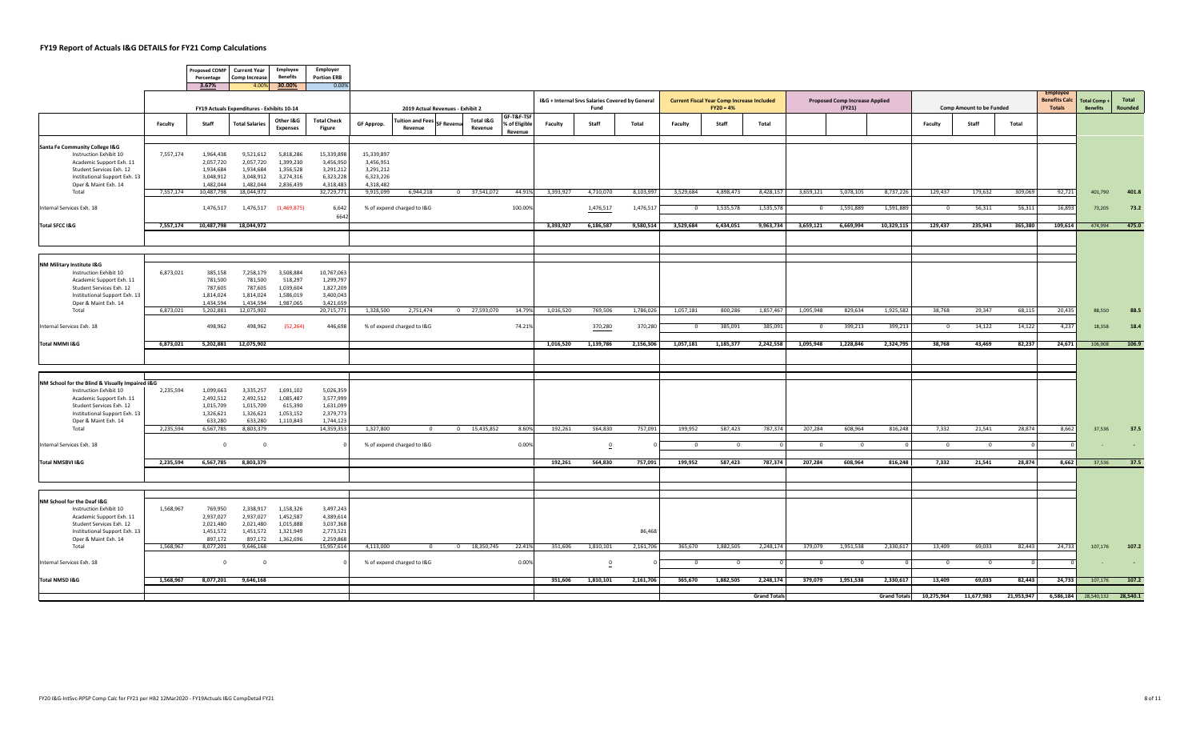ா

───────────────

|                                                                           |           | Percentage                                              | Proposed COMP Current Year<br><b>Comp Increase</b> | Employee<br><b>Benefits</b> | Employer<br><b>Portion ERB</b> |                         |                                    |                  |                      |                                        |           |                                                 |           |                |                                                   |                     |            |                                       |                     |                |                                 |            |                                         |                     |         |
|---------------------------------------------------------------------------|-----------|---------------------------------------------------------|----------------------------------------------------|-----------------------------|--------------------------------|-------------------------|------------------------------------|------------------|----------------------|----------------------------------------|-----------|-------------------------------------------------|-----------|----------------|---------------------------------------------------|---------------------|------------|---------------------------------------|---------------------|----------------|---------------------------------|------------|-----------------------------------------|---------------------|---------|
|                                                                           |           | 3.67%                                                   |                                                    | 4.00% 30.00%                | 0.00%                          |                         |                                    |                  |                      |                                        |           | I&G + Internal Srvs Salaries Covered by General |           |                | <b>Current Fiscal Year Comp Increase Included</b> |                     |            | <b>Proposed Comp Increase Applied</b> |                     |                |                                 |            | <b>Employer</b><br><b>Benefits Calc</b> | <b>Total Comp +</b> | Total   |
|                                                                           |           | FY19 Actuals Expenditures - Exhibits 10-14<br>Other I&G |                                                    |                             |                                |                         | 2019 Actual Revenues - Exhibit 2   |                  |                      |                                        |           | Fund                                            |           |                | $FY20 = 4%$                                       |                     |            | (FY21)                                |                     |                | <b>Comp Amount to be Funded</b> |            | <b>Totals</b>                           | <b>Benefits</b>     | Rounded |
|                                                                           | Faculty   | Staff                                                   | <b>Total Salaries</b>                              | <b>Expenses</b>             | <b>Total Check</b><br>Figure   | GF Approp.              | <b>Tuition and Fees</b><br>Revenue | <b>SF Revenu</b> | Total I&G<br>Revenue | GF-T&F-TSF<br>% of Eligible<br>Revenue | Faculty   | Staff                                           | Total     | Faculty        | Staff                                             | Total               |            |                                       |                     | Faculty        | Staff                           | Total      |                                         |                     |         |
| Santa Fe Community College I&G                                            |           |                                                         |                                                    |                             |                                |                         |                                    |                  |                      |                                        |           |                                                 |           |                |                                                   |                     |            |                                       |                     |                |                                 |            |                                         |                     |         |
| Instruction Exhibit 10<br>Academic Support Exh. 11                        | 7,557,174 | 1,964,438<br>2,057,720                                  | 9,521,612<br>2,057,720                             | 5,818,286<br>1,399,230      | 15,339,898<br>3,456,950        | 15,339,897<br>3,456,951 |                                    |                  |                      |                                        |           |                                                 |           |                |                                                   |                     |            |                                       |                     |                |                                 |            |                                         |                     |         |
| Student Services Exh. 12                                                  |           | 1,934,684                                               | 1,934,684                                          | 1,356,528                   | 3,291,212                      | 3,291,212               |                                    |                  |                      |                                        |           |                                                 |           |                |                                                   |                     |            |                                       |                     |                |                                 |            |                                         |                     |         |
| Institutional Support Exh. 13<br>Oper & Maint Exh. 14                     |           | 3,048,912<br>1,482,044                                  | 3,048,912<br>1,482,044                             | 3,274,316<br>2,836,439      | 6,323,228<br>4,318,483         | 6,323,226<br>4,318,482  |                                    |                  |                      |                                        |           |                                                 |           |                |                                                   |                     |            |                                       |                     |                |                                 |            |                                         |                     |         |
| Total                                                                     | 7,557,174 | 10,487,798                                              | 18,044,972                                         |                             | 32,729,771                     | 9,915,099               | 6,944,218                          |                  | 0 37,541,072         | 44.91%                                 | 3,393,927 | 4,710,070                                       | 8,103,997 | 3,529,684      | 4,898,473                                         | 8,428,157           | 3,659,121  | 5,078,105                             | 8,737,226           | 129,437        | 179,632                         | 309,069    | 92,721                                  | 401,790             | 401.8   |
| Internal Services Exh. 18                                                 |           | 1,476,517                                               | 1,476,517                                          | (1,469,875)                 | 6,642<br>6642                  |                         | % of expend charged to I&G         |                  |                      | 100.00%                                |           | 1,476,517                                       | 1,476,517 | $\overline{0}$ | 1,535,578                                         | 1,535,578           | $\Omega$   | 1,591,889                             | 1,591,889           | $\Omega$       | 56,311                          | 56,311     | 16,893                                  | 73,205              | 73.2    |
| Total SFCC I&G                                                            | 7,557,174 | 10,487,798                                              | 18,044,972                                         |                             |                                |                         |                                    |                  |                      |                                        | 3,393,927 | 6,186,587                                       | 9,580,514 | 3,529,684      | 6,434,051                                         | 9,963,734           | 3,659,121  | 6,669,994                             | 10,329,115          | 129,437        | 235,943                         | 365,380    | 109,614                                 | 474,994             | 475.0   |
|                                                                           |           |                                                         |                                                    |                             |                                |                         |                                    |                  |                      |                                        |           |                                                 |           |                |                                                   |                     |            |                                       |                     |                |                                 |            |                                         |                     |         |
|                                                                           |           |                                                         |                                                    |                             |                                |                         |                                    |                  |                      |                                        |           |                                                 |           |                |                                                   |                     |            |                                       |                     |                |                                 |            |                                         |                     |         |
| NM Military Institute I&G<br>Instruction Exhibit 10                       | 6,873,021 | 385,158                                                 | 7,258,179                                          | 3,508,884                   | 10,767,063                     |                         |                                    |                  |                      |                                        |           |                                                 |           |                |                                                   |                     |            |                                       |                     |                |                                 |            |                                         |                     |         |
| Academic Support Exh. 11<br>Student Services Exh. 12                      |           | 781,500<br>787,605                                      | 781,500<br>787,605                                 | 518,297<br>1,039,604        | 1,299,797<br>1,827,209         |                         |                                    |                  |                      |                                        |           |                                                 |           |                |                                                   |                     |            |                                       |                     |                |                                 |            |                                         |                     |         |
| Institutional Support Exh. 13                                             |           | 1,814,024                                               | 1,814,024                                          | 1,586,019                   | 3,400,04                       |                         |                                    |                  |                      |                                        |           |                                                 |           |                |                                                   |                     |            |                                       |                     |                |                                 |            |                                         |                     |         |
| Oper & Maint Exh. 14<br>Total                                             | 6,873,021 | 1,434,594<br>5,202,881                                  | 1,434,594<br>12,075,902                            | 1,987,065                   | 3,421,659<br>20,715,771        | 1,328,500               | 2,751,474                          |                  | 0 27,593,070         | 14.79%                                 | 1,016,520 | 769,506                                         | 1,786,026 | 1,057,181      | 800,286                                           | 1,857,467           | 1,095,948  | 829,634                               | 1,925,582           | 38,768         | 29,347                          | 68,115     | 20,435                                  | 88,550              | 88.5    |
| Internal Services Exh. 18                                                 |           | 498,962                                                 | 498,962                                            | (52, 264)                   | 446,698                        |                         | % of expend charged to I&G         |                  |                      | 74.21%                                 |           | 370,280                                         | 370,280   | $\overline{0}$ | 385,091                                           | 385,091             | $^{\circ}$ | 399,213                               | 399,213             | $\overline{0}$ | 14,122                          | 14,122     | 4,237                                   | 18,358              | 18.4    |
| Total NMMI I&G                                                            | 6.873.021 | 5.202.881                                               | 12.075.902                                         |                             |                                |                         |                                    |                  |                      |                                        | 1.016.520 |                                                 |           | 1.057.181      | 1.185.377                                         |                     | 1.095.948  | 1.228.846                             | 2.324.795           | 38.768         | 43.469                          | 82.237     |                                         |                     |         |
|                                                                           |           |                                                         |                                                    |                             |                                |                         |                                    |                  |                      |                                        |           | 1,139,786                                       | 2,156,306 |                |                                                   | 2.242.558           |            |                                       |                     |                |                                 |            | 24.671                                  | 106,908             | 106.9   |
|                                                                           |           |                                                         |                                                    |                             |                                |                         |                                    |                  |                      |                                        |           |                                                 |           |                |                                                   |                     |            |                                       |                     |                |                                 |            |                                         |                     |         |
|                                                                           |           |                                                         |                                                    |                             |                                |                         |                                    |                  |                      |                                        |           |                                                 |           |                |                                                   |                     |            |                                       |                     |                |                                 |            |                                         |                     |         |
| NM School for the Blind & Visually Impaired I&G<br>Instruction Exhibit 10 | 2,235,594 | 1,099,663                                               | 3,335,257                                          | 1,691,102                   | 5,026,359                      |                         |                                    |                  |                      |                                        |           |                                                 |           |                |                                                   |                     |            |                                       |                     |                |                                 |            |                                         |                     |         |
| Academic Support Exh. 11<br>Student Services Exh. 12                      |           | 2,492,512<br>1,015,709                                  | 2,492,512<br>1,015,709                             | 1,085,487<br>615,390        | 3,577,999<br>1,631,099         |                         |                                    |                  |                      |                                        |           |                                                 |           |                |                                                   |                     |            |                                       |                     |                |                                 |            |                                         |                     |         |
| Institutional Support Exh. 13                                             |           | 1,326,621                                               | 1,326,621                                          | 1,053,152                   | 2,379,773                      |                         |                                    |                  |                      |                                        |           |                                                 |           |                |                                                   |                     |            |                                       |                     |                |                                 |            |                                         |                     |         |
| Oper & Maint Exh. 14<br>Total                                             | 2,235,594 | 633,280<br>6,567,785                                    | 633,280<br>8,803,379                               | 1,110,843                   | 1,744,123<br>14,359,353        | 1,327,800               | $\overline{0}$                     |                  | 0 15,435,852         | 8.60%                                  | 192,261   | 564,830                                         | 757,091   | 199,952        | 587,423                                           | 787,374             | 207,284    | 608,964                               | 816,248             | 7,332          | 21,541                          | 28,874     | 8,662                                   | 37,536              | 37.5    |
|                                                                           |           |                                                         |                                                    |                             |                                |                         |                                    |                  |                      |                                        |           |                                                 |           |                |                                                   |                     |            |                                       |                     |                |                                 |            |                                         |                     |         |
| Internal Services Exh. 18                                                 |           | $\overline{0}$                                          | $\overline{\mathbf{0}}$                            |                             |                                |                         | % of expend charged to I&G         |                  |                      | 0.00%                                  |           | $\overline{\mathbf{0}}$                         |           | $\overline{0}$ | $\overline{\mathbf{0}}$                           |                     |            |                                       |                     | $\overline{0}$ | $\overline{\mathbf{0}}$         |            |                                         |                     |         |
| Total NMSBVI I&G                                                          | 2,235,594 | 6,567,785                                               | 8,803,379                                          |                             |                                |                         |                                    |                  |                      |                                        | 192,261   | 564,830                                         | 757,091   | 199,952        | 587,423                                           | 787,374             | 207,284    | 608,964                               | 816,248             | 7,332          | 21,541                          | 28,874     | 8,662                                   | 37,536              | 37.5    |
|                                                                           |           |                                                         |                                                    |                             |                                |                         |                                    |                  |                      |                                        |           |                                                 |           |                |                                                   |                     |            |                                       |                     |                |                                 |            |                                         |                     |         |
|                                                                           |           |                                                         |                                                    |                             |                                |                         |                                    |                  |                      |                                        |           |                                                 |           |                |                                                   |                     |            |                                       |                     |                |                                 |            |                                         |                     |         |
| NM School for the Deaf I&G                                                |           |                                                         |                                                    |                             |                                |                         |                                    |                  |                      |                                        |           |                                                 |           |                |                                                   |                     |            |                                       |                     |                |                                 |            |                                         |                     |         |
| Instruction Exhibit 10<br>Academic Support Exh. 11                        | 1,568,967 | 769,950<br>2,937,027                                    | 2,338,917<br>2,937,027                             | 1,158,326<br>1,452,587      | 3,497,243<br>4,389,614         |                         |                                    |                  |                      |                                        |           |                                                 |           |                |                                                   |                     |            |                                       |                     |                |                                 |            |                                         |                     |         |
| Student Services Exh. 12                                                  |           | 2,021,480                                               | 2,021,480                                          | 1,015,888                   | 3,037,368                      |                         |                                    |                  |                      |                                        |           |                                                 |           |                |                                                   |                     |            |                                       |                     |                |                                 |            |                                         |                     |         |
| Institutional Support Exh. 13<br>Oper & Maint Exh. 14                     |           | 1,451,572<br>897,172                                    | 1,451,572<br>897,172                               | 1,321,949<br>1,362,696      | 2,773,52<br>2,259,868          |                         |                                    |                  |                      |                                        |           |                                                 | 86,468    |                |                                                   |                     |            |                                       |                     |                |                                 |            |                                         |                     |         |
| Total                                                                     | 1,568,967 | 8,077,201                                               | 9,646,168                                          |                             | 15,957,614                     | 4,113,000               | $\Omega$                           |                  | 0 18,350,745         | 22.419                                 | 351,606   | 1,810,101                                       | 2,161,706 | 365,670        | 1,882,505                                         | 2,248,174           | 379,079    | 1,951,538                             | 2,330,617           | 13,409         | 69,033                          | 82,443     | 24,733                                  | 107,176             | 107.2   |
| Internal Services Exh. 18                                                 |           | $\Omega$                                                | $\overline{0}$                                     |                             |                                |                         | % of expend charged to I&G         |                  |                      | 0.00%                                  |           | $\mathbf{0}$                                    |           | $\overline{0}$ | $\overline{0}$                                    |                     | $^{\circ}$ | $\overline{0}$                        |                     | $\overline{0}$ | $\overline{0}$                  |            |                                         |                     |         |
|                                                                           |           |                                                         |                                                    |                             |                                |                         |                                    |                  |                      |                                        |           |                                                 |           |                |                                                   |                     |            |                                       |                     |                |                                 |            |                                         |                     |         |
| Total NMSD I&G                                                            | 1,568,967 | 8,077,201                                               | 9,646,168                                          |                             |                                |                         |                                    |                  |                      |                                        | 351,606   | 1,810,101                                       | 2,161,706 | 365,670        | 1,882,505                                         | 2,248,174           | 379,079    | 1,951,538                             | 2,330,617           | 13,409         | 69,033                          | 82,443     | 24,733                                  | 107,176             | 107.2   |
|                                                                           |           |                                                         |                                                    |                             |                                |                         |                                    |                  |                      |                                        |           |                                                 |           |                |                                                   | <b>Grand Totals</b> |            |                                       | <b>Grand Totals</b> | 10,275,964     | 11,677,983                      | 21,953,947 | 6,586,184                               | 28,540,132 28,540.1 |         |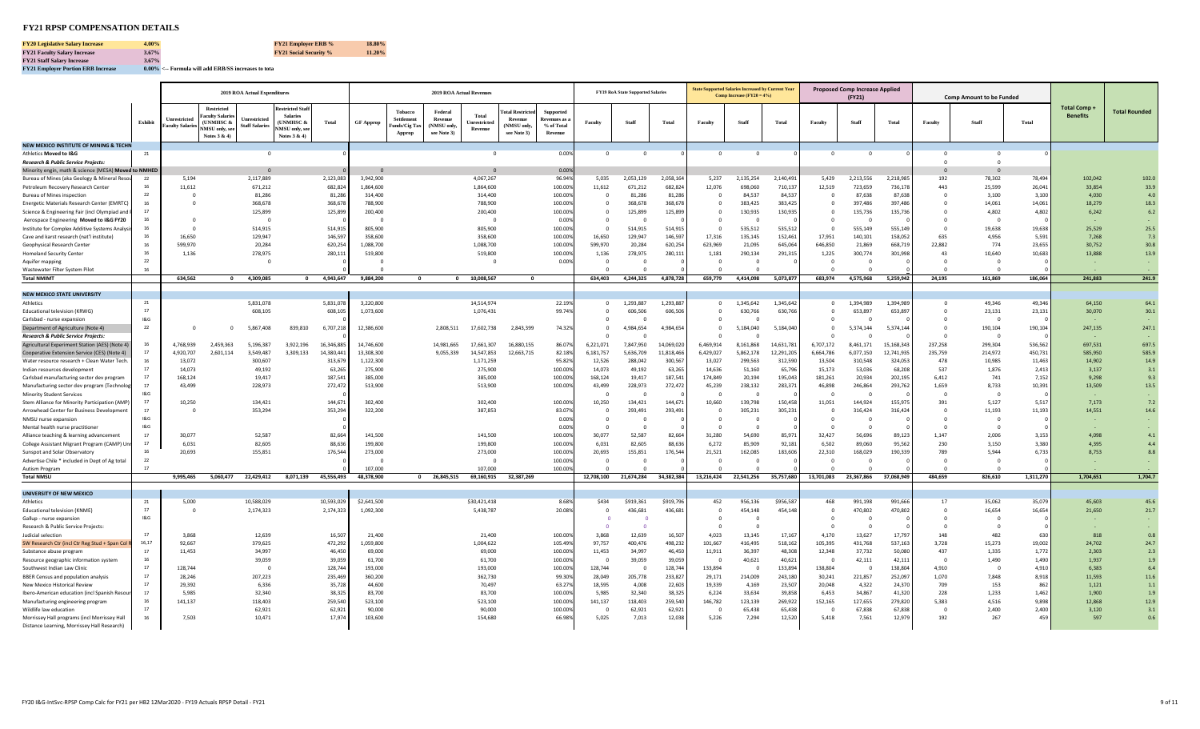# **FY21 RPSP COMPENSATION DETAILS**

**FY21 Employer Portion ERB Increase 0.00% <-- Formula will add ERB/SS increases to tota**

|                                                                                  |             | 2019 ROA Actual Expenditures  |                                                                                           |                                              |                                                                                           |                   |                     |                                                              | <b>2019 ROA Actual Revenues</b>      |                                 |                                             |                                           |                      | <b>FY19 RoA State Supported Salaries</b> |                  |                        | <b>State Supported Salaries Increased by Current Ye</b><br>Comp Increase $(FY20 = 4\%)$ |                   |                   | <b>Proposed Comp Increase Applied</b><br>(FY21) |                  |                | <b>Comp Amount to be Funded</b> |               |                                      |                      |
|----------------------------------------------------------------------------------|-------------|-------------------------------|-------------------------------------------------------------------------------------------|----------------------------------------------|-------------------------------------------------------------------------------------------|-------------------|---------------------|--------------------------------------------------------------|--------------------------------------|---------------------------------|---------------------------------------------|-------------------------------------------|----------------------|------------------------------------------|------------------|------------------------|-----------------------------------------------------------------------------------------|-------------------|-------------------|-------------------------------------------------|------------------|----------------|---------------------------------|---------------|--------------------------------------|----------------------|
|                                                                                  | Exhibit     | Inrestricted<br>Faculty Salar | <b>Restricted</b><br><b>Faculty Salarie</b><br>(UNMHSC &<br>NMSU only, se<br>Notes 3 & 4) | <b>Inrestricted</b><br><b>Staff Salaries</b> | estricted Stal<br><b>Salaries</b><br><b>UNMHSC &amp;</b><br>NMSU only, se<br>Notes 3 & 4) | <b>Total</b>      | <b>GF Approp</b>    | <b>Tobacco</b><br><b>Settlement</b><br>unds/Cig Ta<br>Approp | Federal<br>(NMSU only<br>see Note 3) | Total<br>Inrestricte<br>Revenue | otal Restricte<br>(NMSU only<br>see Note 3) | <b>Supported</b><br>% of Total<br>Revenue | Faculty              | Staff                                    | Total            | Faculty                | Staff                                                                                   | <b>Total</b>      | Faculty           | <b>Staff</b>                                    | <b>Total</b>     | Faculty        | Staff                           | <b>Total</b>  | <b>Total Comp</b><br><b>Benefits</b> | <b>Total Rounded</b> |
| NEW MEXICO INSTITUTE OF MINING & TECHN                                           |             |                               |                                                                                           |                                              |                                                                                           |                   |                     |                                                              |                                      |                                 |                                             |                                           |                      |                                          |                  |                        |                                                                                         |                   |                   |                                                 |                  |                |                                 |               |                                      |                      |
| Athletics Moved to I&G                                                           | 21          |                               |                                                                                           | $\overline{0}$                               |                                                                                           |                   |                     |                                                              |                                      | $\mathbf 0$                     |                                             | 0.00%                                     | $\overline{0}$       | $\Omega$                                 |                  | $^{\circ}$             | $\mathbf 0$                                                                             |                   | $\mathbf 0$       | $\overline{\mathbf{0}}$                         |                  | $\overline{0}$ | $\overline{0}$                  |               |                                      |                      |
| <b>Research &amp; Public Service Projects</b>                                    |             |                               |                                                                                           |                                              |                                                                                           |                   |                     |                                                              |                                      |                                 |                                             |                                           |                      |                                          |                  |                        |                                                                                         |                   |                   |                                                 |                  |                |                                 |               |                                      |                      |
| Minority engin, math & science (MESA) Moved to NMHEI                             |             |                               |                                                                                           |                                              |                                                                                           |                   |                     |                                                              |                                      |                                 |                                             | 0.00                                      |                      |                                          |                  |                        |                                                                                         |                   |                   |                                                 |                  |                |                                 |               |                                      |                      |
| Bureau of Mines (aka Geology & Mineral Resou                                     | 22          | 5,194                         |                                                                                           | 2,117,889                                    |                                                                                           | 2,123,083         | 3,942,900           |                                                              |                                      | 4,067,267                       |                                             | 96.94                                     | 5,035                | 2,053,129                                | 2,058,16         | 5,237                  | 2,135,254                                                                               | 2,140,49          | 5,429             | 2,213,556                                       | 2,218,98         | 192            | 78,302                          | 78,49         | 102.042                              | 102.0                |
| Petroleum Recovery Research Center                                               | 16<br>22    | 11,612                        |                                                                                           | 671,212                                      |                                                                                           | 682,824           | 1,864,600           |                                                              |                                      | 1,864,600                       |                                             | 100.009                                   | 11,612<br>$\sqrt{2}$ | 671,212                                  | 682,824          | 12,076<br>$\Omega$     | 698,060                                                                                 | 710,137           | 12,519            | 723,659                                         | 736,17           | 443            | 25,599                          | 26,04         | 33,854                               | 33.9                 |
| <b>Bureau of Mines inspection</b><br>Energetic Materials Research Center (EMRTC) | 16          |                               |                                                                                           | 81,286<br>368,678                            |                                                                                           | 81,28<br>368,678  | 314,400<br>788,900  |                                                              |                                      | 314,400<br>788,900              |                                             | 100.00<br>100.00                          |                      | 81,286<br>368,678                        | 81,28<br>368,678 | $^{\circ}$             | 84,537<br>383,425                                                                       | 84,537<br>383,42  | $\mathbf 0$       | 87,638<br>397,486                               | 87,638<br>397,48 |                | 3.100<br>14,061                 | 3,10<br>14,06 | 4,030<br>18,279                      | 4.0<br>18.3          |
| Science & Engineering Fair (incl Olympiad and                                    | 17          |                               |                                                                                           | 125,899                                      |                                                                                           | 125,899           | 200,400             |                                                              |                                      | 200,400                         |                                             | 100.009                                   | $\Omega$             | 125,899                                  | 125,899          | $\mathbf{0}$           | 130,935                                                                                 | 130,935           |                   | 135,736                                         | 135,736          |                | 4,802                           | 4,80          | 6,242                                | $6.2$                |
| Aerospace Engineering Moved to I&G FY20                                          |             | $\Omega$                      |                                                                                           |                                              |                                                                                           |                   |                     |                                                              |                                      | $\Omega$                        |                                             | 0.00                                      | $\Omega$             |                                          |                  | $\Omega$               |                                                                                         |                   |                   |                                                 |                  |                |                                 |               |                                      |                      |
| Institute for Complex Additive Systems Analys                                    | 16          |                               |                                                                                           | 514,915                                      |                                                                                           | 514,915           | 805,900             |                                                              |                                      | 805,900                         |                                             | 100.00                                    | $\sqrt{ }$           | 514,915                                  | 514,915          | - 0                    | 535,512                                                                                 | 535,51            | $\Omega$          | 555,149                                         | 555,149          |                | 19,638                          | 19,638        | 25,529                               | 25.5                 |
| Cave and karst research (nat'l institute)                                        | 16          | 16.650                        |                                                                                           | 129,947                                      |                                                                                           | 146,597           | 358,600             |                                                              |                                      | 358,600                         |                                             | 100.00                                    | 16.650               | 129.947                                  | 146.59           | 17.316                 | 135,145                                                                                 | 152.46            | 17.951            | 140.101                                         | 158.05           | 635            | 4.956                           | 5.59          | 7.268                                | 7.3                  |
| Geophysical Research Center                                                      | 16          | 599,970                       |                                                                                           | 20,284                                       |                                                                                           | 620,254           | 1,088,700           |                                                              |                                      | 1,088,700                       |                                             | 100.009                                   | 599,970              | 20,284                                   | 620,25           | 623,969                | 21,095                                                                                  | 645,064           | 646,850           | 21,869                                          | 668,71           | 22,882         | 774                             | 23,655        | 30,752                               | 30.8                 |
| <b>Homeland Security Center</b>                                                  | 16          | 1,136                         |                                                                                           | 278,975                                      |                                                                                           | 280,11            | 519,800             |                                                              |                                      | 519,800                         |                                             | 100.00                                    | 1,136                | 278,975                                  | 280,11           | 1,181                  | 290,134                                                                                 | 291,31            | 1,225             | 300,774                                         | 301.99           | 43             | 10.640                          | 10.683        | 13.888                               | 13.9                 |
| Aquifer mapping                                                                  | 22          |                               |                                                                                           | $\Omega$                                     |                                                                                           |                   | - 0                 |                                                              |                                      | $^{\circ}$                      |                                             | 0.009                                     | $\Omega$             | $\Omega$                                 |                  | $\circ$                | $^{\circ}$                                                                              |                   | $^{\circ}$        | $\overline{0}$                                  |                  |                |                                 |               |                                      |                      |
| Wastewater Filter System Pilot                                                   | 16          |                               |                                                                                           |                                              |                                                                                           |                   |                     |                                                              |                                      |                                 |                                             |                                           |                      |                                          |                  | $\Omega$               | $\sqrt{ }$                                                                              |                   |                   |                                                 |                  |                |                                 |               |                                      |                      |
| <b>Total NMIMT</b>                                                               |             | 634,562                       |                                                                                           | 0 4,309,085                                  |                                                                                           | 0 4,943,647       | 9,884,200           | $\mathbf{0}$                                                 |                                      | 0 10,008,567                    | $\mathbf{0}$                                |                                           | 634,403              | 4,244,325                                | 4,878,728        | 659,779                | 4,414,098                                                                               | 5,073,877         | 683,974           | 4,575,968                                       | 5,259,942        | 24,195         | 161,869                         | 186,064       | 241,883                              | 241.9                |
|                                                                                  |             |                               |                                                                                           |                                              |                                                                                           |                   |                     |                                                              |                                      |                                 |                                             |                                           |                      |                                          |                  |                        |                                                                                         |                   |                   |                                                 |                  |                |                                 |               |                                      |                      |
| <b>NEW MEXICO STATE UNIVERSITY</b>                                               |             |                               |                                                                                           |                                              |                                                                                           |                   |                     |                                                              |                                      |                                 |                                             |                                           |                      |                                          |                  |                        |                                                                                         |                   |                   |                                                 |                  |                |                                 |               |                                      |                      |
| Athletics                                                                        | 21<br>17    |                               |                                                                                           | 5,831,078                                    |                                                                                           | 5,831,078         | 3,220,800           |                                                              |                                      | 14,514,974                      |                                             | 22.199                                    | $\Omega$             | 1,293,887                                | 1,293,887        | $^{\circ}$             | 1,345,642                                                                               | 1,345,64          | 0                 | 1,394,989                                       | 1,394,98         |                | 49.346                          | 49,34         | 64,150                               | 64.1                 |
| <b>Educational television (KRWG)</b><br>Carlsbad - nurse expansion               | 18G         |                               |                                                                                           | 608,105                                      |                                                                                           | 608,10            | 1,073,600           |                                                              |                                      | 1,076,431                       |                                             | 99.74                                     | $\Omega$<br>$\Omega$ | 606,506                                  | 606,506          | $\Omega$<br>$^{\circ}$ | 630,766<br>- 0                                                                          | 630,76            | $\Omega$          | 653,897<br>$\Omega$                             | 653,89           |                | 23,131                          | 23,13         | 30,070                               | 30.1                 |
| Department of Agriculture (Note 4)                                               | 22          | $\Omega$                      | $\Omega$                                                                                  | 5,867,408                                    | 839,810                                                                                   | 6,707,218         | 12,386,600          |                                                              | 2,808,511                            | 17,602,738                      | 2,843,399                                   | 74.329                                    | $\Omega$             | 4,984,654                                | 4,984,654        | $\Omega$               | 5,184,040                                                                               | 5,184,040         | $\Omega$          | 5,374,144                                       | 5,374,144        |                | 190,104                         | 190,10        | 247,135                              | 247.1                |
| <b>Research &amp; Public Service Projects</b>                                    |             |                               |                                                                                           |                                              |                                                                                           |                   |                     |                                                              |                                      |                                 |                                             |                                           |                      |                                          |                  | $\Omega$               |                                                                                         |                   |                   |                                                 |                  |                |                                 |               |                                      |                      |
| Agricultural Experiment Station (AES) (Note 4                                    | 16          | 4,768,939                     | 2,459,363                                                                                 | 5.196.387                                    | 3,922,196                                                                                 | 16,346,88         | 14,746,600          |                                                              | 14,981,665                           | 17,661,307                      | 16,880,155                                  | 86.079                                    | 6,221,071            | 7,847,950                                | 14.069.02        | 6,469,914              | 8,161,868                                                                               | 14,631,78         | 6,707,172         | 8,461,171                                       | 15.168.34        | 237,258        | 299,304                         | 536,56        | 697,531                              | 697.5                |
| Cooperative Extension Service (CES) (Note 4)                                     | 17          | 4,920,707                     | 2,601,114                                                                                 | 3,549,487                                    | 3,309,133                                                                                 | 14,380,44         | 13,308,300          |                                                              | 9,055,339                            | 14,547,853                      | 12,663,715                                  | 82.18                                     | 6,181,757            | 5,636,709                                | 11.818.4         | 6,429,027              | 5,862,178                                                                               | 12,291,20         | 6,664,786         | 6,077,150                                       | 12,741,93        | 235,759        | 214,972                         | 450,73        | 585,950                              | 585.9                |
| Water resource research + Clean Water Tech.                                      | 16          | 13.072                        |                                                                                           | 300,607                                      |                                                                                           | 313,679           | 1,122,300           |                                                              |                                      | 1.171.259                       |                                             | 95.829                                    | 12.526               | 288,042                                  | 300,56           | 13,027                 | 299,563                                                                                 | 312,590           | 13,504            | 310,548                                         | 324.05           | 478            | 10,985                          | 11,46         | 14,902                               | 14.9                 |
| Indian resources development                                                     | 17          | 14.073                        |                                                                                           | 49,192                                       |                                                                                           | 63,26             | 275,900             |                                                              |                                      | 275,900                         |                                             | 100.009                                   | 14,073               | 49,192                                   | 63,26            | 14,636                 | 51,160                                                                                  | 65,79             | 15.173            | 53,036                                          | 68,20            | 537            | 1,876                           | 2,413         | 3,137                                | 3.1                  |
| Carlsbad manufacturing sector dev program                                        | 17          | 168.124                       |                                                                                           | 19.417                                       |                                                                                           | 187,541           | 385,000             |                                                              |                                      | 385,000                         |                                             | 100.00                                    | 168.124              | 19,417                                   | 187,541          | 174,849                | 20,194                                                                                  | 195,043           | 181.261           | 20,934                                          | 202,195          | 6,412          | 741                             | 7,152         | 9,298                                | 9.3                  |
| Manufacturing sector dev program (Technolo                                       | 17          | 43.499                        |                                                                                           | 228,973                                      |                                                                                           | 272,47            | 513,900             |                                                              |                                      | 513,900                         |                                             | 100.00                                    | 43.499               | 228,973                                  | 272,472          | 45,239                 | 238,132                                                                                 | 283,37            | 46.898            | 246,864                                         | 293,76           | 1,659          | 8,733                           | 10,39         | 13,509                               | 13.5                 |
| <b>Minority Student Services</b>                                                 | 18G         |                               |                                                                                           |                                              |                                                                                           |                   |                     |                                                              |                                      |                                 |                                             |                                           |                      |                                          |                  | $\sqrt{2}$             | $\Omega$                                                                                |                   |                   |                                                 |                  |                |                                 |               |                                      |                      |
| Stem Alliance for Minority Participation (AMP)                                   | 17          | 10,250                        |                                                                                           | 134,421                                      |                                                                                           | 144,671           | 302,400             |                                                              |                                      | 302,400                         |                                             | 100.00                                    | 10,250               | 134,421                                  | 144.67           | 10,660                 | 139,798                                                                                 | 150,458           | 11,051            | 144,924                                         | 155,97           | 391            | 5,127                           | 5,51          | 7,173                                | 7.2                  |
| Arrowhead Center for Business Development                                        | 17          | $\Omega$                      |                                                                                           | 353,294                                      |                                                                                           | 353,294           | 322,200             |                                                              |                                      | 387,853                         |                                             | 83.07                                     | $\Omega$             | 293,491                                  | 293,491          | $\Omega$               | 305,231                                                                                 | 305,23:           | $\Omega$          | 316,424                                         | 316,424          | - 0            | 11,193                          | 11,193        | 14,551                               | 14.6                 |
| NMSU nurse expansion                                                             | 1&G         |                               |                                                                                           |                                              |                                                                                           |                   |                     |                                                              |                                      |                                 |                                             | 0.00                                      |                      |                                          |                  | $\overline{0}$         |                                                                                         |                   |                   |                                                 |                  |                |                                 |               |                                      |                      |
| Mental health nurse practitioner                                                 | 18G         |                               |                                                                                           |                                              |                                                                                           |                   |                     |                                                              |                                      |                                 |                                             | 0.00                                      |                      |                                          |                  | - C                    |                                                                                         |                   |                   |                                                 |                  |                |                                 |               |                                      |                      |
| Alliance teaching & learning advancement                                         | 17<br>17    | 30.077                        |                                                                                           | 52,587                                       |                                                                                           | 82,664            | 141,500             |                                                              |                                      | 141,500                         |                                             | 100.009                                   | 30,077               | 52,587                                   | 82,664           | 31,280                 | 54,690                                                                                  | 85,971            | 32,427            | 56,696                                          | 89,12            | 1,147          | 2,006                           | 3,15          | 4.098                                | 4.1                  |
| College Assistant Migrant Program (CAMP) L<br>Sunspot and Solar Observatory      | 16          | 6,031<br>20,693               |                                                                                           | 82,605<br>155,851                            |                                                                                           | 88,636<br>176,544 | 199,800<br>273,000  |                                                              |                                      | 199,800<br>273,000              |                                             | 100.00<br>100.00                          | 6.031<br>20,693      | 82.605<br>155,851                        | 88,636<br>176,54 | 6,272<br>21,521        | 85,909<br>162,085                                                                       | 92,18<br>183,60   | 6,502<br>22,310   | 89,060<br>168,029                               | 95,56<br>190,339 | 230<br>789     | 3,150<br>5,944                  | 3.38<br>6,73  | 4,395<br>8,753                       | 4.4<br>8.8           |
| Advertise Chile * included in Dept of Ag total                                   | 22          |                               |                                                                                           |                                              |                                                                                           |                   |                     |                                                              |                                      | $\Omega$                        |                                             | 100.009                                   |                      |                                          |                  | - 0                    | $\sqrt{ }$                                                                              |                   |                   |                                                 |                  |                |                                 |               |                                      |                      |
| Autism Program                                                                   | 17          |                               |                                                                                           |                                              |                                                                                           |                   | 107,000             |                                                              |                                      | 107,000                         |                                             | 100.009                                   |                      |                                          |                  | $\Omega$               |                                                                                         |                   |                   |                                                 |                  |                |                                 |               |                                      |                      |
| <b>Total NMSU</b>                                                                |             | 9,995,465                     | 5,060,477                                                                                 | 22,429,412                                   | 8,071,139                                                                                 | 45,556,493        | 48,378,900          |                                                              | 0 26,845,515                         | 69,160,915                      | 32,387,269                                  |                                           | 12,708,100           | 21,674,284                               | 34,382,384       | 13,216,424             | 22,541,256                                                                              | 35,757,680        | 13,701,083        | 23,367,866                                      | 37,068,949       | 484,659        | 826,610                         | 1,311,270     | 1,704,651                            | 1,704.7              |
|                                                                                  |             |                               |                                                                                           |                                              |                                                                                           |                   |                     |                                                              |                                      |                                 |                                             |                                           |                      |                                          |                  |                        |                                                                                         |                   |                   |                                                 |                  |                |                                 |               |                                      |                      |
| UNIVERSITY OF NEW MEXICO                                                         |             |                               |                                                                                           |                                              |                                                                                           |                   |                     |                                                              |                                      |                                 |                                             |                                           |                      |                                          |                  |                        |                                                                                         |                   |                   |                                                 |                  |                |                                 |               |                                      |                      |
| Athletics                                                                        | 21          | 5,000                         |                                                                                           | 10,588,029                                   |                                                                                           | 10,593,029        | \$2,641,500         |                                                              |                                      | \$30,421,418                    |                                             | 8.68                                      | \$434                | \$919,361                                | \$919,79         | 452                    | 956,136                                                                                 | \$956,58          | 468               | 991.198                                         | 991,666          | 17             | 35,062                          | 35,07         | 45.603                               | 45.6                 |
| Educational television (KNME)                                                    | 17          | $\Omega$                      |                                                                                           | 2,174,323                                    |                                                                                           | 2,174,323         | 1,092,300           |                                                              |                                      | 5,438,787                       |                                             | 20.08                                     |                      | 436,681                                  | 436,68           | $\Omega$               | 454,148                                                                                 | 454,14            |                   | 470,802                                         | 470,80           |                | 16,654                          | 16.65         | 21,650                               | 21.7                 |
| Gallup - nurse expansion                                                         | 18G         |                               |                                                                                           |                                              |                                                                                           |                   |                     |                                                              |                                      |                                 |                                             |                                           |                      |                                          |                  | $\Omega$               |                                                                                         |                   |                   |                                                 |                  |                |                                 |               |                                      |                      |
| Research & Public Service Projects:                                              |             |                               |                                                                                           |                                              |                                                                                           |                   |                     |                                                              |                                      |                                 |                                             |                                           |                      |                                          |                  | $\Omega$               |                                                                                         |                   | $\Omega$          | $\Omega$                                        |                  |                |                                 |               |                                      |                      |
| Judicial selection                                                               | 17<br>16,17 | 3.868<br>92,667               |                                                                                           | 12.639<br>379,625                            |                                                                                           | 16,507            | 21,400<br>1,059,800 |                                                              |                                      | 21,400<br>1,004,622             |                                             | 100.00<br>105.49                          | 3.868<br>97,757      | 12,639<br>400,476                        | 16,50            | 4,023<br>101,667       | 13,145                                                                                  | 17,167            | 4,170             | 13,627                                          | 17,79            | 148<br>3,728   | 482                             | -63<br>19.00  | 818<br>24,702                        | 0.8<br>24.7          |
| SW Research Ctr (incl Ctr Reg Stud + Span Co)                                    | 17          | 11,453                        |                                                                                           | 34,997                                       |                                                                                           | 472,292<br>46,450 | 69,000              |                                                              |                                      | 69,000                          |                                             | 100.00                                    | 11,453               | 34,997                                   | 498,23<br>46,45  | 11,911                 | 416,495<br>36,397                                                                       | 518,162<br>48,308 | 105,395<br>12,348 | 431,768<br>37,732                               | 537,16<br>50,080 | 437            | 15,273<br>1,335                 | 1,77          | 2,303                                | 2.3                  |
| Substance abuse program<br>Resource geographic information system                | 16          |                               |                                                                                           | 39,059                                       |                                                                                           | 39,059            | 61,700              |                                                              |                                      | 61,700                          |                                             | 100.009                                   | $\Omega$             | 39,059                                   | 39,05            | $\Omega$               | 40,621                                                                                  | 40,621            |                   | 42,111                                          | 42,111           |                | 1,490                           | 1,490         | 1,937                                | 1.9                  |
| Southwest Indian Law Clinic                                                      | 17          | 128,744                       |                                                                                           |                                              |                                                                                           | 128,744           | 193,000             |                                                              |                                      | 193,000                         |                                             | 100.00                                    | 128,744              | $\sqrt{2}$                               | 128,74           | 133,894                | - 0                                                                                     | 133,894           | 138,804           | $\Omega$                                        | 138,804          | 4,910          |                                 | 4,910         | 6,383                                | 6.4                  |
| BBER Census and population analysis                                              | 17          | 28.246                        |                                                                                           | 207,223                                      |                                                                                           | 235,469           | 360,200             |                                                              |                                      | 362,730                         |                                             | 99.30                                     | 28.049               | 205,778                                  | 233.82           | 29.171                 | 214,009                                                                                 | 243,180           | 30.241            | 221,857                                         | 252,097          | 1,070          | 7,848                           | 8,918         | 11,593                               | 11.6                 |
| New Mexico Historical Review                                                     | 17          | 29.392                        |                                                                                           | 6.336                                        |                                                                                           | 35,728            | 44,600              |                                                              |                                      | 70.497                          |                                             | 63.27                                     | 18,595               | 4.008                                    | 22,603           | 19,339                 | 4,169                                                                                   | 23,50             | 20.048            | 4,322                                           | 24,370           | 709            | 153                             | 8£            | 1,121                                | $1.1$                |
| Ibero-American education (incl Spanish Resour                                    | 17          | 5.985                         |                                                                                           | 32,340                                       |                                                                                           | 38,325            | 83,700              |                                                              |                                      | 83,700                          |                                             | 100.009                                   | 5.985                | 32,340                                   | 38,325           | 6,224                  | 33.634                                                                                  | 39,858            | 6.453             | 34,867                                          | 41,320           | 228            | 1,233                           | 1,46          | 1,900                                | 1.9                  |
| Manufacturing engineering program                                                | 16          | 141,137                       |                                                                                           | 118,403                                      |                                                                                           | 259,540           | 523,100             |                                                              |                                      | 523,100                         |                                             | 100.00                                    | 141,137              | 118,403                                  | 259,54           | 146,782                | 123,139                                                                                 | 269,92            | 152,165           | 127,655                                         | 279,820          | 5,383          | 4,516                           | 9,89          | 12,868                               | 12.9                 |
| Wildlife law education                                                           | 17          |                               |                                                                                           | 62.92                                        |                                                                                           | 62,921            | 90,000              |                                                              |                                      | 90,000                          |                                             | 100.00                                    |                      | 62,921                                   | 62.92            |                        | 65,438                                                                                  | 65,438            |                   | 67,838                                          | 67,838           |                | 2,400                           | 2,400         | 3,120                                | 3.1                  |
| Morrissey Hall programs (incl Morrissey Hall                                     | 16          | 7.503                         |                                                                                           | 10.471                                       |                                                                                           | 17,974            | 103,600             |                                                              |                                      | 154,680                         |                                             | 66.989                                    | 5,025                | 7,013                                    | 12,038           | 5,226                  | 7,294                                                                                   | 12,520            | 5,418             | 7,561                                           | 12,979           | 192            | 267                             | 45            | 597                                  | 0.6                  |
| Distance Learning, Morrissey Hall Research)                                      |             |                               |                                                                                           |                                              |                                                                                           |                   |                     |                                                              |                                      |                                 |                                             |                                           |                      |                                          |                  |                        |                                                                                         |                   |                   |                                                 |                  |                |                                 |               |                                      |                      |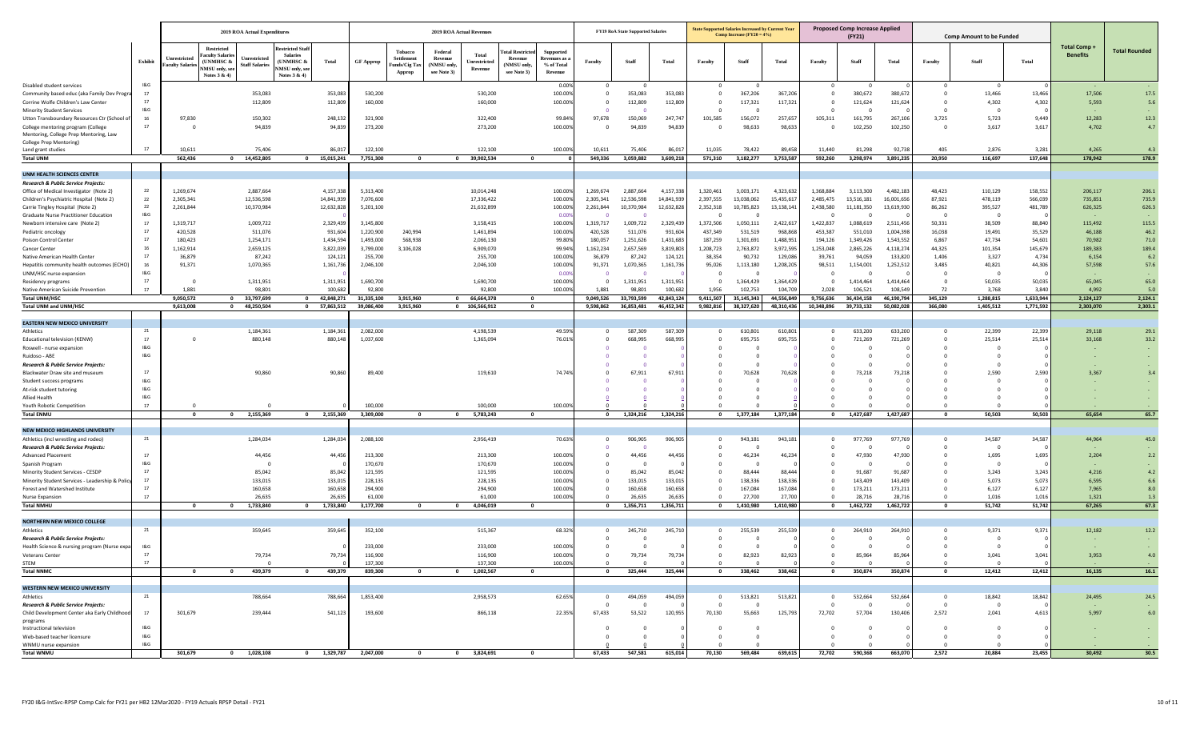|                                                                                     |                                    | 2019 ROA Actual Expenditures   |                                                                                                       |                                                                                |                       |                                               | <b>2019 ROA Actual Revenues</b>                 |                                  |                                                               |                                                          |                             | <b>FY19 RoA State Supported Salaries</b> |                  |                                | <b>State Supported Salaries Increased by Current Year</b><br>Comp Increase $(FY20 = 4\%)$ |                    |                                           | <b>Proposed Comp Increase Applied</b><br>(FY21) |                     |                                | <b>Comp Amount to be Funded</b> |                 |                 |                      |
|-------------------------------------------------------------------------------------|------------------------------------|--------------------------------|-------------------------------------------------------------------------------------------------------|--------------------------------------------------------------------------------|-----------------------|-----------------------------------------------|-------------------------------------------------|----------------------------------|---------------------------------------------------------------|----------------------------------------------------------|-----------------------------|------------------------------------------|------------------|--------------------------------|-------------------------------------------------------------------------------------------|--------------------|-------------------------------------------|-------------------------------------------------|---------------------|--------------------------------|---------------------------------|-----------------|-----------------|----------------------|
|                                                                                     |                                    |                                | <b>Restricted</b>                                                                                     | <b>testricted Stal</b>                                                         |                       |                                               |                                                 |                                  |                                                               |                                                          |                             |                                          |                  |                                |                                                                                           |                    |                                           |                                                 |                     |                                |                                 |                 | Total Comp      |                      |
|                                                                                     | Exhibit                            | Unrestricted<br>aculty Salarie | aculty Salari<br>Unrestricted<br>(UNMHSC &<br><b>Staff Salaries</b><br>NMSU only, see<br>Notes 3 & 4) | <b>Salaries</b><br>(UNMHSC &<br>Total<br><b>NMSU</b> only, see<br>Notes 3 & 4) | <b>GF</b> Approp      | Tobacco<br>Settlemen<br>unds/Cig Ta<br>Approp | Federal<br>Revenue<br>(NMSU only<br>see Note 3) | Total<br>Unrestricted<br>Revenue | <b>atal Restrict</b><br>Revenue<br>(NMSU only,<br>see Note 3) | <b>Supported</b><br>devenues as<br>% of Total<br>Revenue | Faculty                     | Staff                                    | Total            | Faculty                        | Staff                                                                                     | Total              | Faculty                                   | Staff                                           | Total               | Faculty                        | Staff                           | Total           | <b>Benefits</b> | <b>Total Rounded</b> |
| Disabled student services                                                           | 1&G<br>17                          |                                |                                                                                                       |                                                                                |                       |                                               |                                                 |                                  |                                                               | 0.009                                                    | $\overline{0}$              | $\overline{\mathbf{0}}$                  |                  | $\mathbf 0$                    | 0                                                                                         |                    | $\overline{\mathbf{0}}$                   | $\overline{\mathbf{0}}$                         |                     | $\overline{\mathbf{0}}$        | $\circ$                         |                 |                 |                      |
| Community based educ (aka Family Dev Progra<br>Corrine Wolfe Children's Law Center  | 17                                 |                                | 353,083<br>112,809                                                                                    | 353,083<br>112,809                                                             | 530,200<br>160,000    |                                               |                                                 | 530,200<br>160,000               |                                                               | 100.00%<br>100.009                                       | $^{\circ}$                  | 353,083<br>112,809                       | 353,08<br>112,80 | $\mathbf{0}$<br>$\mathbf 0$    | 367,206<br>117,321                                                                        | 367,206<br>117,321 | $\Omega$                                  | 380,672<br>121,624                              | 380,672<br>121,624  | $\Omega$                       | 13,466<br>4,302                 | 13,466<br>4,302 | 17,506<br>5,593 | 17.5<br>5.6          |
| <b>Minority Student Services</b>                                                    | 18 <sub>G</sub>                    |                                |                                                                                                       |                                                                                |                       |                                               |                                                 |                                  |                                                               |                                                          |                             |                                          |                  | $\mathbf 0$                    |                                                                                           |                    |                                           |                                                 |                     |                                | - 0                             |                 |                 |                      |
| Utton Transboundary Resources Ctr (School o                                         | 16                                 | 97,830                         | 150,302                                                                                               | 248,132                                                                        | 321,900               |                                               |                                                 | 322,400                          |                                                               | 99.84%                                                   | 97,678                      | 150,069                                  | 247,74           | 101,585                        | 156,072                                                                                   | 257,657            | 105,311                                   | 161,795                                         | 267,106             | 3,725                          | 5,723                           | 9,449           | 12,283          | 12.3                 |
| College mentoring program (College                                                  | 17                                 |                                | 94,839                                                                                                | 94,839                                                                         | 273,200               |                                               |                                                 | 273,200                          |                                                               | 100.009                                                  | $^{\circ}$                  | 94,839                                   | 94,83            | $\mathbf 0$                    | 98,633                                                                                    | 98,633             |                                           | 102,250                                         | 102,250             | - 0                            | 3,617                           | 3,617           | 4,702           | 4.7                  |
| Mentoring, College Prep Mentoring, Law<br>College Prep Mentoring)                   |                                    |                                |                                                                                                       |                                                                                |                       |                                               |                                                 |                                  |                                                               |                                                          |                             |                                          |                  |                                |                                                                                           |                    |                                           |                                                 |                     |                                |                                 |                 |                 |                      |
| Land grant studies                                                                  | 17                                 | 10,611                         | 75,406                                                                                                | 86,01                                                                          | 122,100               |                                               |                                                 | 122,100                          |                                                               | 100.00                                                   | 10,61                       | 75,406                                   | 86.01            | 11,035                         | 78,422                                                                                    | 89.45              | 11,440                                    | 81,298                                          | 92,73               | 405                            | 2,876                           | 3.28            | 4,265           | 4.3                  |
| <b>Total UNM</b>                                                                    |                                    | 562,436                        | 0 14,452,805                                                                                          | 0 15,015,241                                                                   | 7,751,300             | $\Omega$                                      | $\bullet$                                       | 39,902,534                       | $\mathbf{0}$                                                  |                                                          | 549,336                     | 3,059,882                                | 3,609,218        | 571,310                        | 3,182,277                                                                                 | 3,753,587          | 592,260                                   | 3,298,974                                       | 3,891,235           | 20,950                         | 116,697                         | 137,648         | 178,942         | 178.9                |
|                                                                                     |                                    |                                |                                                                                                       |                                                                                |                       |                                               |                                                 |                                  |                                                               |                                                          |                             |                                          |                  |                                |                                                                                           |                    |                                           |                                                 |                     |                                |                                 |                 |                 |                      |
| UNM HEALTH SCIENCES CENTER<br>Research & Public Service Projects:                   |                                    |                                |                                                                                                       |                                                                                |                       |                                               |                                                 |                                  |                                                               |                                                          |                             |                                          |                  |                                |                                                                                           |                    |                                           |                                                 |                     |                                |                                 |                 |                 |                      |
| Office of Medical Investigator (Note 2)                                             | 22                                 | 1.269.674                      | 2,887,664                                                                                             | 4,157,338                                                                      | 5,313,400             |                                               |                                                 | 10,014,248                       |                                                               | 100.00%                                                  | 1,269,674                   | 2,887,664                                | 4,157,33         | 1,320,461                      | 3,003,171                                                                                 | 4,323,632          | 1,368,884                                 | 3,113,300                                       | 4,482,183           | 48,423                         | 110,129                         | 158,552         | 206,117         | 206.1                |
| Children's Psychiatric Hospital (Note 2)                                            | 22                                 | 2,305,341                      | 12,536,598                                                                                            | 14,841,939                                                                     | 7,076,600             |                                               |                                                 | 17,336,422                       |                                                               | 100.00%                                                  | 2,305,341                   | 12,536,598                               | 14,841,93        | 2,397,555                      | 13,038,062                                                                                | 15,435,61          | 2,485,475                                 | 13,516,181                                      | 16,001,656          | 87,921                         | 478,119                         | 566,039         | 735,851         | 735.9                |
| Carrie Tingley Hospital (Note 2)                                                    | 22<br>18 <sub>G</sub>              | 2,261,844                      | 10,370,984                                                                                            | 12,632,828                                                                     | 5,201,100             |                                               |                                                 | 21,632,899                       |                                                               | 100.009                                                  | 2,261,844                   | 10,370,984                               | 12,632,82        | 2,352,318                      | 10,785,823                                                                                | 13,138,14          | 2,438,580                                 | 11,181,350                                      | 13,619,930          | 86,262                         | 395,527                         | 481,789         | 626,325         | 626.3                |
| <b>Graduate Nurse Practitioner Education</b><br>Newborn intensive care (Note 2)     | 17                                 | 1,319,717                      | 1,009,722                                                                                             | 2,329,439                                                                      | 3,145,800             |                                               |                                                 | 3,158,415                        |                                                               | 0.00<br>100.009                                          | 1,319,717                   | 1,009,722                                | 2,329,43         | $\Omega$<br>1,372,506          | 1,050,111                                                                                 | 2,422,61           | 1,422,837                                 | 1,088,619                                       | 2,511,45            | - 0<br>50,331                  | - 0<br>38,509                   | 88,840          | 115,492         | 115.5                |
| Pediatric oncology                                                                  | 17                                 | 420,528                        | 511,076                                                                                               | 931,604                                                                        | 1,220,900             | 240,994                                       |                                                 | 1,461,894                        |                                                               | 100.00%                                                  | 420,528                     | 511,076                                  | 931,60           | 437,349                        | 531,519                                                                                   | 968,868            | 453,387                                   | 551,010                                         | 1,004,398           | 16,038                         | 19,491                          | 35,529          | 46,188          | 46.2                 |
| Poison Control Center                                                               | 17                                 | 180.423                        | 1,254,171                                                                                             | 1,434,594                                                                      | 1,493,000             | 568,938                                       |                                                 | 2,066,130                        |                                                               | 99.80%                                                   | 180,057                     | 1,251,626                                | 1,431,68         | 187,259                        | 1,301,691                                                                                 | 1,488,951          | 194,126                                   | 1,349,426                                       | 1,543,552           | 6,867                          | 47,734                          | 54,601          | 70.982          | 71.0                 |
| Cancer Center                                                                       | 16                                 | 1,162,914                      | 2,659,125                                                                                             | 3,822,039                                                                      | 3,799,000             | 3,106,028                                     |                                                 | 6,909,070                        |                                                               | 99.94%                                                   | 1,162,234                   | 2,657,569                                | 3,819,80         | 1,208,723                      | 2,763,872                                                                                 | 3,972,595          | 1,253,048                                 | 2,865,226                                       | 4,118,27            | 44,325                         | 101,354                         | 145,679         | 189,383         | 189.4                |
| Native American Health Center                                                       | 17<br>16                           | 36,879<br>91,371               | 87,242                                                                                                | 124,12                                                                         | 255,700               |                                               |                                                 | 255,700                          |                                                               | 100.00%<br>100.00%                                       | 36,879                      | 87,242                                   | 124,12           | 38,354<br>95,026               | 90,732                                                                                    | 129,08             | 39,761                                    | 94,059                                          | 133,82<br>1,252,512 | 1,406<br>3,485                 | 3,327                           | 4,734           | 6,154<br>57,598 | $6.2\,$<br>57.6      |
| Hepatitis community health outcomes (ECHO)<br>UNM/HSC nurse expansion               | 1&G                                |                                | 1,070,365                                                                                             | 1,161,73                                                                       | 2,046,100             |                                               |                                                 | 2,046,100                        |                                                               | 0.00                                                     | 91,371                      | 1,070,365<br>- 0                         | 1,161,73         | $\mathbf{0}$                   | 1,113,180                                                                                 | 1,208,205          | 98,511                                    | 1,154,001<br>$\overline{0}$                     |                     | - 0                            | 40,821<br>$\overline{0}$        | 44,306          |                 |                      |
| Residency programs                                                                  | 17                                 |                                | 1,311,951                                                                                             | 1,311,95                                                                       | 1,690,700             |                                               |                                                 | 1,690,700                        |                                                               | 100.009                                                  | $\Omega$                    | 1,311,951                                | 1,311,95         | - 0                            | 1,364,429                                                                                 | 1,364,429          |                                           | 1,414,464                                       | 1,414,46            |                                | 50,035                          | 50,035          | 65,045          | 65.0                 |
| Native American Suicide Prevention                                                  | 17                                 | 1,881                          | 98,801                                                                                                | 100,68                                                                         | 92,800                |                                               |                                                 | 92,800                           |                                                               | 100.009                                                  | 1,881                       | 98,801                                   | 100,68           | 1,956                          | 102,753                                                                                   | 104,709            | 2,028                                     | 106,521                                         | 108,54              | 72                             | 3,768                           | 3,840           | 4,992           | 5.0                  |
| <b>Total UNM/HSC</b>                                                                |                                    | 9,050,572                      | 33,797,699<br>$\mathbf{0}$                                                                            | 42,848,271<br>$\mathbf{0}$                                                     | 31,335,100            | 3,915,960                                     | $\mathbf{0}$                                    | 66,664,378                       | $\mathbf{0}$                                                  |                                                          | 9,049,526                   | 33,793,599                               | 42,843,12        | 9,411,507                      | 35,145,343                                                                                | 44,556,849         | 9,756,636                                 | 36,434,158                                      | 46,190,794          | 345,129                        | 1,288,815                       | 1,633,944       | 2,124,127       | 2,124.1              |
| <b>Total UNM and UNM/HSC</b>                                                        |                                    | 9,613,008                      | 48,250,504<br>$^{\circ}$                                                                              | 57,863,512<br>$\mathbf{0}$                                                     | 39,086,400            | 3,915,960                                     |                                                 | 0 106,566,912                    | $\mathbf{0}$                                                  |                                                          | 9,598,862                   | 36,853,481                               | 46,452,342       | 9,982,816                      | 38,327,620                                                                                | 48,310,436         | 10,348,896                                | 39,733,132                                      | 50,082,028          | 366,080                        | 1,405,512                       | 1,771,592       | 2,303,070       | 2,303.1              |
| <b>EASTERN NEW MEXICO UNIVERSITY</b>                                                |                                    |                                |                                                                                                       |                                                                                |                       |                                               |                                                 |                                  |                                                               |                                                          |                             |                                          |                  |                                |                                                                                           |                    |                                           |                                                 |                     |                                |                                 |                 |                 |                      |
| Athletics                                                                           | 21                                 |                                | 1,184,361                                                                                             | 1,184,36                                                                       | 2,082,000             |                                               |                                                 | 4,198,539                        |                                                               | 49.59%                                                   | $^{\circ}$                  | 587,309                                  | 587,30           | $^{\circ}$                     | 610,801                                                                                   | 610,801            | $\Omega$                                  | 633,200                                         | 633,200             | - 0                            | 22,399                          | 22,399          | 29.118          | 29.1                 |
| Educational television (KENW)                                                       | 17                                 |                                | 880,148                                                                                               | 880,148                                                                        | 1,037,600             |                                               |                                                 | 1,365,094                        |                                                               | 76.019                                                   |                             | 668,995                                  | 668,99           | $\mathbf 0$                    | 695,755                                                                                   | 695,755            |                                           | 721,269                                         | 721,269             |                                | 25,514                          | 25,514          | 33,168          | 33.2                 |
| Roswell - nurse expansion<br>Ruidoso - ABE                                          | 1&G<br>1&G                         |                                |                                                                                                       |                                                                                |                       |                                               |                                                 |                                  |                                                               |                                                          |                             |                                          |                  | $\Omega$                       |                                                                                           |                    |                                           |                                                 |                     |                                | $\mathbf{0}$<br>$\Omega$        |                 |                 | $\sim$               |
| Research & Public Service Projects:                                                 |                                    |                                |                                                                                                       |                                                                                |                       |                                               |                                                 |                                  |                                                               |                                                          |                             |                                          |                  |                                |                                                                                           |                    |                                           |                                                 |                     |                                |                                 |                 |                 |                      |
| Blackwater Draw site and museum                                                     | 17                                 |                                | 90,860                                                                                                | 90,86                                                                          | 89,400                |                                               |                                                 | 119,610                          |                                                               | 74.749                                                   | - 0                         | 67,911                                   | 67,91            |                                | 70,628                                                                                    | 70,628             |                                           | 73,218                                          | 73,218              |                                | 2,590                           | 2.590           | 3,367           | 3.4                  |
| Student success programs                                                            | 1&G                                |                                |                                                                                                       |                                                                                |                       |                                               |                                                 |                                  |                                                               |                                                          |                             |                                          |                  |                                |                                                                                           |                    |                                           |                                                 |                     |                                |                                 |                 |                 |                      |
| At-risk student tutoring<br>Allied Health                                           | 18 <sub>G</sub><br>18 <sub>G</sub> |                                |                                                                                                       |                                                                                |                       |                                               |                                                 |                                  |                                                               |                                                          |                             |                                          |                  |                                |                                                                                           |                    |                                           |                                                 |                     |                                |                                 |                 |                 |                      |
| Youth Robotic Competition                                                           | 17                                 |                                |                                                                                                       |                                                                                | 100,000               |                                               |                                                 | 100,000                          |                                                               | 100.009                                                  |                             |                                          |                  |                                |                                                                                           |                    |                                           |                                                 |                     |                                |                                 |                 |                 |                      |
| <b>Total ENMU</b>                                                                   |                                    | $\mathbf 0$                    | 2,155,369<br>$\mathbf 0$                                                                              | 2,155,369<br>$\mathbf{0}$                                                      | 3,309,000             | $\mathbf 0$                                   | $\overline{\mathbf{0}}$                         | 5,783,243                        | $\overline{\mathbf{0}}$                                       |                                                          | $\mathbf{0}$                | 1,324,216                                | 1,324,216        | $\mathbf{0}$                   | 1,377,184                                                                                 | 1,377,184          | $\overline{\mathbf{0}}$                   | 1,427,687                                       | 1,427,687           | $\mathbf{0}$                   | 50,503                          | 50,503          | 65,654          | 65.7                 |
|                                                                                     |                                    |                                |                                                                                                       |                                                                                |                       |                                               |                                                 |                                  |                                                               |                                                          |                             |                                          |                  |                                |                                                                                           |                    |                                           |                                                 |                     |                                |                                 |                 |                 |                      |
| NEW MEXICO HIGHLANDS UNIVERSITY<br>Athletics (incl wrestling and rodeo)             | 21                                 |                                | 1,284,034                                                                                             | 1,284,034                                                                      | 2,088,100             |                                               |                                                 | 2,956,419                        |                                                               | 70.63%                                                   |                             | 906,905                                  | 906,90           | $\circ$                        | 943,181                                                                                   | 943,181            | $^{\circ}$                                | 977,769                                         | 977,769             |                                | 34,587                          | 34,587          | 44,964          | 45.0                 |
| <b>Research &amp; Public Service Projects:</b>                                      |                                    |                                |                                                                                                       |                                                                                |                       |                                               |                                                 |                                  |                                                               |                                                          |                             |                                          |                  | $\Omega$                       |                                                                                           |                    |                                           |                                                 |                     |                                |                                 |                 |                 |                      |
| <b>Advanced Placement</b>                                                           | 17                                 |                                | 44,456                                                                                                | 44,456                                                                         | 213,300               |                                               |                                                 | 213,300                          |                                                               | 100.009                                                  | $^{\circ}$                  | 44,456                                   | 44,45            | $\mathbf 0$                    | 46,234                                                                                    | 46,234             |                                           | 47,930                                          | 47,930              |                                | 1,695                           | 1,695           | 2,204           | 2.2                  |
| Spanish Program                                                                     | 18G                                |                                |                                                                                                       | c                                                                              | 170,670               |                                               |                                                 | 170,670                          |                                                               | 100.009                                                  | - 0                         | - 0                                      |                  | 0                              |                                                                                           |                    |                                           |                                                 |                     |                                |                                 |                 |                 |                      |
| Minority Student Services - CESDP                                                   | 17<br>17                           |                                | 85,042                                                                                                | 85,042                                                                         | 121,595               |                                               |                                                 | 121,595                          |                                                               | 100.009                                                  | $^{\circ}$                  | 85,042                                   | 85,042           | $\Omega$<br>$\mathbf 0$        | 88,444                                                                                    | 88,444             | 0                                         | 91,687                                          | 91,687              |                                | 3,243                           | 3,243           | 4,216           | 4.2                  |
| Minority Student Services - Leadership & Policy<br>Forest and Watershed Institute   | 17                                 |                                | 133,015<br>160,658                                                                                    | 133,015<br>160,658                                                             | 228,135<br>294,900    |                                               |                                                 | 228,135<br>294,900               |                                                               | 100.009<br>100.009                                       | $^{\circ}$                  | 133,015<br>160,658                       | 133,01<br>160,65 |                                | 138,336<br>167,084                                                                        | 138,336<br>167,084 |                                           | 143,409<br>173,211                              | 143,409<br>173,21   |                                | 5,073<br>6,127                  | 5,073<br>6,127  | 6,595<br>7,965  | 6.6<br>8.0           |
| <b>Nurse Expansion</b>                                                              | 17                                 |                                | 26,635                                                                                                | 26,63                                                                          | 61,000                |                                               |                                                 | 61,000                           |                                                               | 100.009                                                  |                             | 26,635                                   | 26,63            |                                | 27,700                                                                                    | 27,700             |                                           | 28,716                                          | 28,71               |                                | 1,016                           | 1,016           | 1,321           | 1.3                  |
| Total NMHU                                                                          |                                    | $\mathbf 0$                    | 1,733,840<br>$\mathbf 0$                                                                              | 1,733,840<br>$\mathbf{0}$                                                      | 3,177,700             | $\mathbf{0}$                                  | $\overline{\mathbf{0}}$                         | 4,046,019                        | $\mathbf{0}$                                                  |                                                          | $\mathbf 0$                 | 1,356,711                                | 1,356,711        | $\mathbf 0$                    | 1,410,980                                                                                 | 1,410,980          | $\overline{\mathbf{0}}$                   | 1,462,722                                       | 1,462,722           | $\mathbf{0}$                   | 51,742                          | 51,742          | 67,265          | 67.3                 |
| NORTHERN NEW MEXICO COLLEGE                                                         |                                    |                                |                                                                                                       |                                                                                |                       |                                               |                                                 |                                  |                                                               |                                                          |                             |                                          |                  |                                |                                                                                           |                    |                                           |                                                 |                     |                                |                                 |                 |                 |                      |
| Athletics                                                                           | 21                                 |                                | 359,645                                                                                               | 359,64                                                                         | 352,100               |                                               |                                                 | 515,367                          |                                                               | 68.329                                                   | $^{\circ}$                  | 245,710                                  | 245,71           | 0                              | 255,539                                                                                   | 255,539            | $\Omega$                                  | 264,910                                         | 264,910             |                                | 9,371                           | 9,371           | 12,182          | 12.2                 |
| Research & Public Service Projects:                                                 |                                    |                                |                                                                                                       |                                                                                |                       |                                               |                                                 |                                  |                                                               |                                                          |                             | - 0                                      |                  | $\Omega$                       |                                                                                           |                    |                                           |                                                 |                     |                                | - 0                             |                 |                 |                      |
| Health Science & nursing program (Nurse expa                                        | 1&G                                |                                |                                                                                                       |                                                                                | 233,000               |                                               |                                                 | 233,000                          |                                                               | 100.00%                                                  | $\mathbf{0}$                | $\overline{0}$                           |                  | $\mathbf 0$                    |                                                                                           |                    |                                           |                                                 |                     |                                |                                 |                 |                 |                      |
| Veterans Center                                                                     |                                    |                                | 79,734                                                                                                | 79,734                                                                         | 116,900               |                                               |                                                 | 116,900                          |                                                               | 100.00                                                   |                             | 79,734                                   | 79,73            |                                | 82,923                                                                                    | 82,923             |                                           | 85,964                                          | 85,9                |                                | 3,041                           | 3,04            | 3,953           | 4.0                  |
| STEM<br><b>Total NNMC</b>                                                           | 17                                 | $\overline{\mathbf{0}}$        | 439,379<br>$\overline{\mathbf{0}}$                                                                    | $\overline{0}$<br>439,379<br>$\overline{\mathbf{0}}$                           | 137,300<br>839,300    | $\mathbf{0}$                                  | $\overline{\mathbf{0}}$                         | 137,300<br>1,002,567             | $\overline{\mathbf{0}}$                                       | 100.00%                                                  | $\overline{0}$<br>$\bullet$ | $\overline{0}$<br>325,444                | 325,444          | $\overline{0}$<br>$\mathbf{0}$ | $\Omega$<br>338,462                                                                       | 338,462            | $\overline{0}$<br>$\overline{\mathbf{0}}$ | $\Omega$<br>350,874                             | 350,874             | $\overline{0}$<br>$\mathbf{0}$ | $\overline{0}$<br>12,412        | 12,412          | 16,135          | 16.1                 |
|                                                                                     |                                    |                                |                                                                                                       |                                                                                |                       |                                               |                                                 |                                  |                                                               |                                                          |                             |                                          |                  |                                |                                                                                           |                    |                                           |                                                 |                     |                                |                                 |                 |                 |                      |
| WESTERN NEW MEXICO UNIVERSITY                                                       |                                    |                                |                                                                                                       |                                                                                |                       |                                               |                                                 |                                  |                                                               |                                                          |                             |                                          |                  |                                |                                                                                           |                    |                                           |                                                 |                     |                                |                                 |                 |                 |                      |
| Athletics                                                                           | 21                                 |                                | 788,664                                                                                               | 788,664                                                                        | 1,853,400             |                                               |                                                 | 2,958,573                        |                                                               | 62.65%                                                   | $\overline{0}$              | 494,059                                  | 494,059          | $\mathbf 0$                    | 513,821                                                                                   | 513,821            | $\overline{0}$                            | 532,664                                         | 532,664             | $\overline{\mathbf{0}}$        | 18,842                          | 18,842          | 24,495          | 24.5                 |
| Research & Public Service Projects:<br>Child Development Center aka Early Childhood | 17                                 | 301,679                        | 239,444                                                                                               | 541,123                                                                        | 193,600               |                                               |                                                 | 866,118                          |                                                               | 22.35%                                                   | $\mathbf{0}$<br>67,433      | $\overline{0}$<br>53,522                 | 120,955          | $\mathbf 0$<br>70,130          | $^{\circ}$<br>55,663                                                                      | 125,793            | $\overline{0}$<br>72,702                  | $\Omega$<br>57,704                              | 130,406             | $\overline{0}$<br>2,572        | $\overline{0}$<br>2,041         | 4,613           | 5,997           | $6.0$                |
| programs                                                                            |                                    |                                |                                                                                                       |                                                                                |                       |                                               |                                                 |                                  |                                                               |                                                          |                             |                                          |                  |                                |                                                                                           |                    |                                           |                                                 |                     |                                |                                 |                 |                 |                      |
| Instructional television                                                            | 18. G                              |                                |                                                                                                       |                                                                                |                       |                                               |                                                 |                                  |                                                               |                                                          | $\overline{\mathbf{0}}$     | $\overline{\mathbf{0}}$                  |                  | $\overline{\mathbf{0}}$        | $\circ$                                                                                   |                    | $\overline{\mathbf{0}}$                   | $\overline{0}$                                  |                     | $\overline{\mathbf{0}}$        | $\circ$                         |                 |                 | $\sim$               |
| Web-based teacher licensure                                                         | 18. G<br>18G                       |                                |                                                                                                       |                                                                                |                       |                                               |                                                 |                                  |                                                               |                                                          | $\mathbf{0}$                | $\overline{0}$                           |                  | $\mathbf 0$                    | $\overline{0}$                                                                            |                    | $\overline{0}$                            | $\overline{0}$                                  |                     | $\overline{0}$                 | $\overline{0}$                  |                 | $\sim$ $\sim$   | <b>Contract</b>      |
| WNMU nurse expansion<br><b>Total WNMU</b>                                           |                                    | 301,679                        | $0 \qquad 1,028,108$                                                                                  |                                                                                | 0 1,329,787 2,047,000 | $\overline{\mathbf{0}}$                       |                                                 | 0 3,824,691                      | $\overline{\mathbf{0}}$                                       |                                                          | 67,433                      | 547,581                                  | 615,014          | 70,130                         | 569,484                                                                                   | 639,615            | 72,702                                    | 590,368                                         | 663,070             | 2,572                          | 20,884                          | 23,455          | 30,492          | 30.5                 |
|                                                                                     |                                    |                                |                                                                                                       |                                                                                |                       |                                               |                                                 |                                  |                                                               |                                                          |                             |                                          |                  |                                |                                                                                           |                    |                                           |                                                 |                     |                                |                                 |                 |                 |                      |